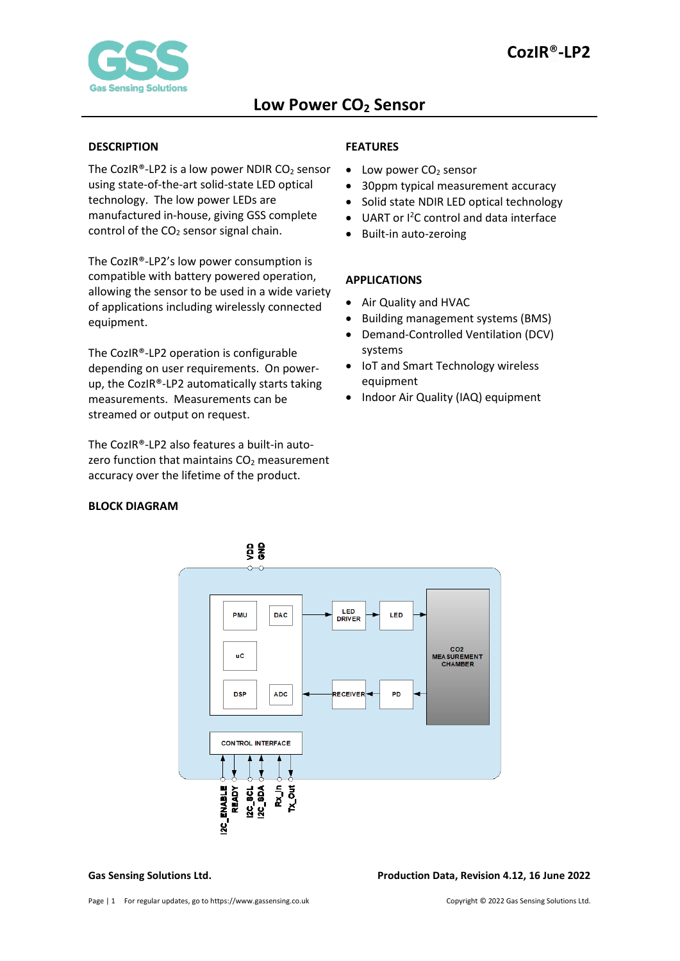

#### <span id="page-0-0"></span>**DESCRIPTION**

The CozIR®-LP2 is a low power NDIR  $CO<sub>2</sub>$  sensor using state-of-the-art solid-state LED optical technology. The low power LEDs are manufactured in-house, giving GSS complete control of the  $CO<sub>2</sub>$  sensor signal chain.

The CozIR®-LP2's low power consumption is compatible with battery powered operation, allowing the sensor to be used in a wide variety of applications including wirelessly connected equipment.

The CozIR®-LP2 operation is configurable depending on user requirements. On powerup, the CozIR®-LP2 automatically starts taking measurements. Measurements can be streamed or output on request.

The CozIR®-LP2 also features a built-in autozero function that maintains  $CO<sub>2</sub>$  measurement accuracy over the lifetime of the product.

#### <span id="page-0-1"></span>**BLOCK DIAGRAM**

### <span id="page-0-2"></span>**FEATURES**

- $\bullet$  Low power CO<sub>2</sub> sensor
- 30ppm typical measurement accuracy
- Solid state NDIR LED optical technology
- UART or I<sup>2</sup>C control and data interface
- Built-in auto-zeroing

#### <span id="page-0-3"></span>**APPLICATIONS**

- Air Quality and HVAC
- Building management systems (BMS)
- Demand-Controlled Ventilation (DCV) systems
- IoT and Smart Technology wireless equipment
- Indoor Air Quality (IAQ) equipment



**Gas Sensing Solutions Ltd. Production Data, Revision 4.12, 16 June 2022**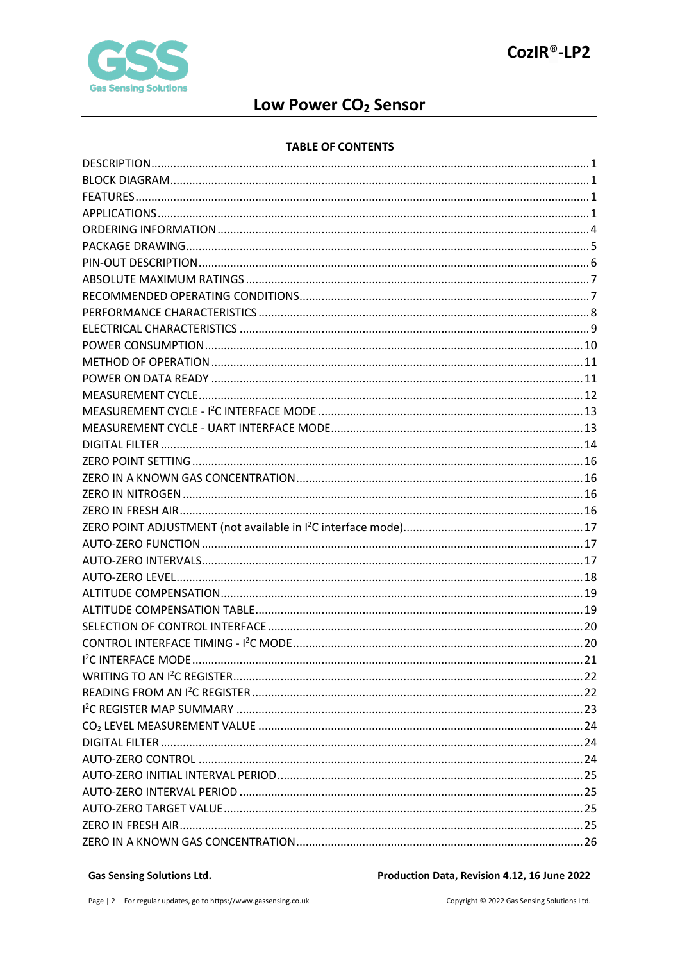

# Low Power CO<sub>2</sub> Sensor

#### **TABLE OF CONTENTS**

#### **Gas Sensing Solutions Ltd.**

Production Data, Revision 4.12, 16 June 2022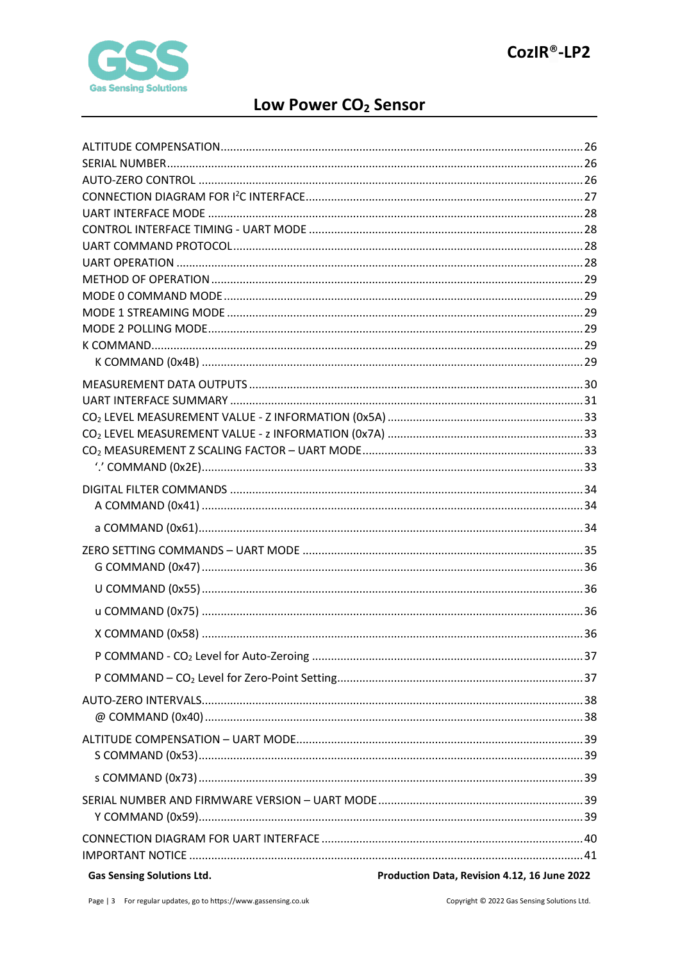

# Low Power CO<sub>2</sub> Sensor

| <b>Gas Sensing Solutions Ltd.</b> | Production Data, Revision 4.12, 16 June 2022 |
|-----------------------------------|----------------------------------------------|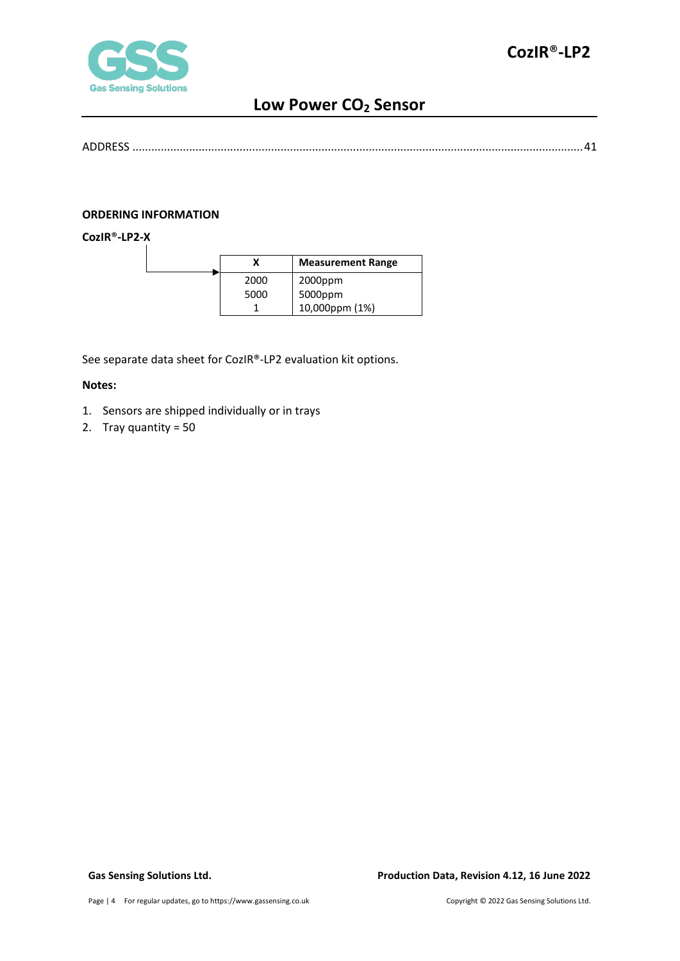

```
ADDRESS ...............................................................................................................................................41
```
#### <span id="page-3-0"></span>**ORDERING INFORMATION**

**CozIR**®**-LP2-X**

|      | <b>Measurement Range</b> |
|------|--------------------------|
| 2000 | $2000$ ppm               |
| 5000 | 5000ppm                  |
|      | 10,000ppm (1%)           |

See separate data sheet for CozIR®-LP2 evaluation kit options.

#### **Notes:**

- 1. Sensors are shipped individually or in trays
- 2. Tray quantity = 50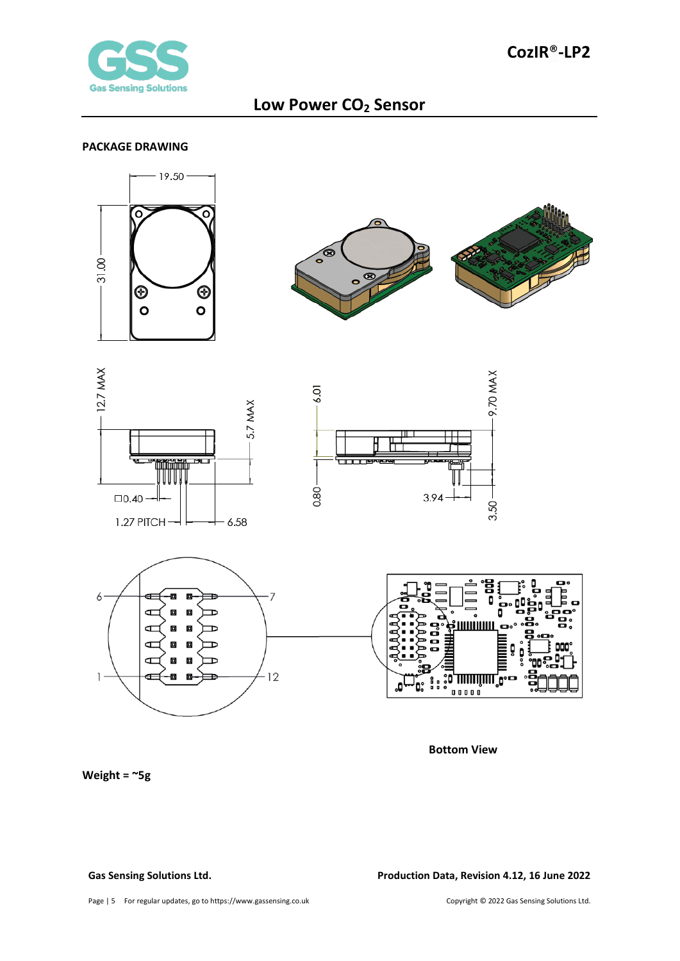

#### <span id="page-4-0"></span>**PACKAGE DRAWING**



**Bottom View**

**Weight = ~5g**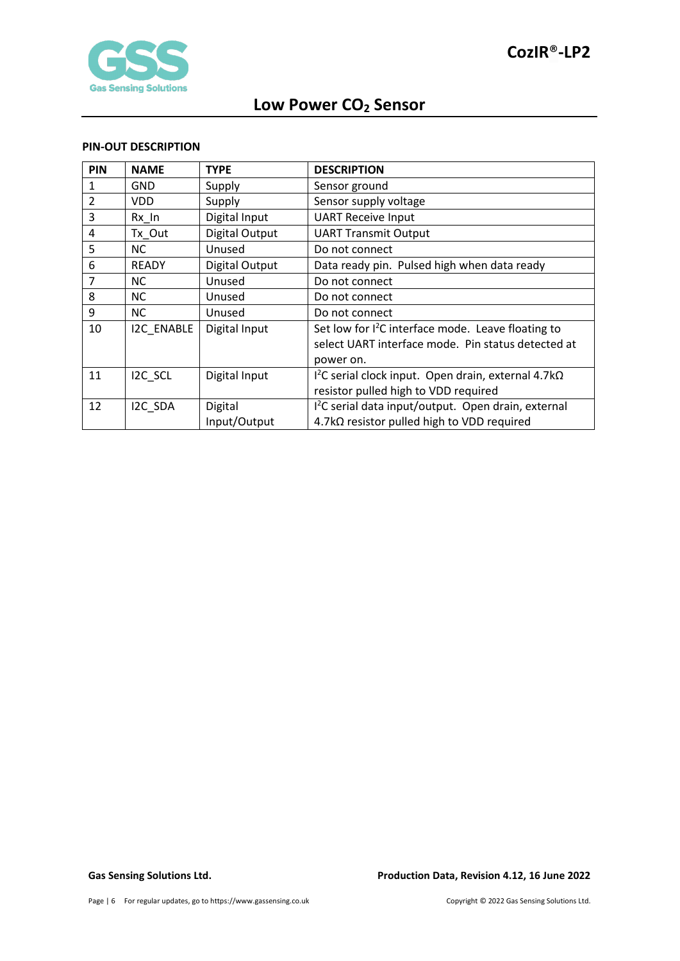

#### <span id="page-5-0"></span>**PIN-OUT DESCRIPTION**

| PIN            | <b>NAME</b>       | <b>TYPE</b>    | <b>DESCRIPTION</b>                                              |
|----------------|-------------------|----------------|-----------------------------------------------------------------|
|                | <b>GND</b>        | Supply         | Sensor ground                                                   |
| $\overline{2}$ | VDD.              | Supply         | Sensor supply voltage                                           |
| 3              | $Rx$ In           | Digital Input  | <b>UART Receive Input</b>                                       |
| 4              | Tx_Out            | Digital Output | <b>UART Transmit Output</b>                                     |
| 5              | <b>NC</b>         | Unused         | Do not connect                                                  |
| 6              | <b>READY</b>      | Digital Output | Data ready pin. Pulsed high when data ready                     |
| 7              | <b>NC</b>         | Unused         | Do not connect                                                  |
| 8              | <b>NC</b>         | Unused         | Do not connect                                                  |
| 9              | <b>NC</b>         | Unused         | Do not connect                                                  |
| 10             | <b>I2C ENABLE</b> | Digital Input  | Set low for $I^2C$ interface mode. Leave floating to            |
|                |                   |                | select UART interface mode. Pin status detected at              |
|                |                   |                | power on.                                                       |
| 11             | I2C SCL           | Digital Input  | $12C$ serial clock input. Open drain, external 4.7k $\Omega$    |
|                |                   |                | resistor pulled high to VDD required                            |
| 12             | I2C SDA           | Digital        | I <sup>2</sup> C serial data input/output. Open drain, external |
|                |                   | Input/Output   | 4.7kΩ resistor pulled high to VDD required                      |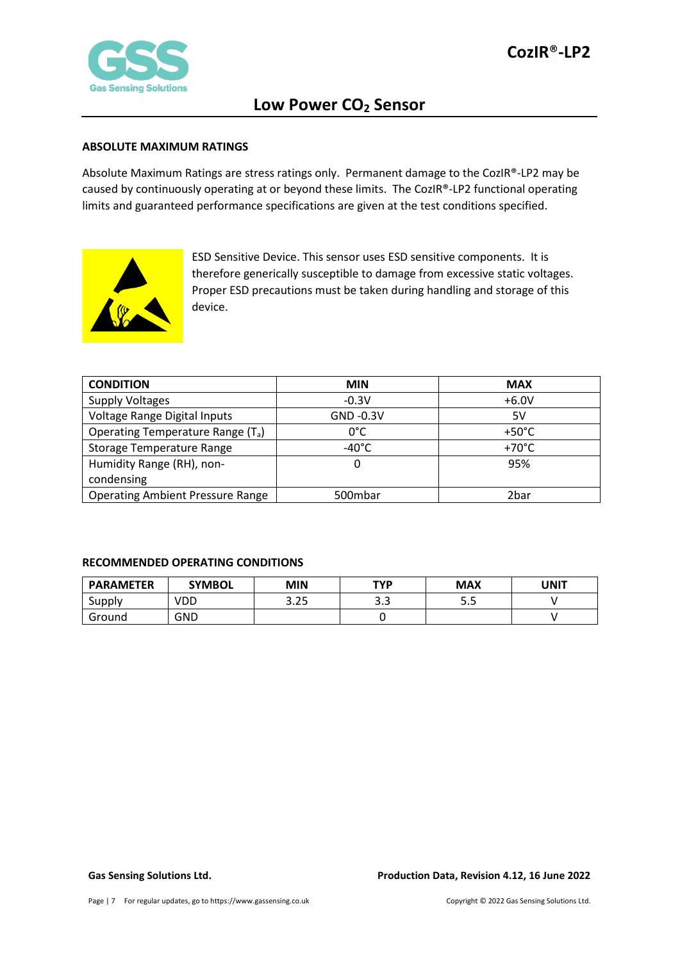

#### <span id="page-6-0"></span>**ABSOLUTE MAXIMUM RATINGS**

Absolute Maximum Ratings are stress ratings only. Permanent damage to the CozIR®-LP2 may be caused by continuously operating at or beyond these limits. The CozIR®-LP2 functional operating limits and guaranteed performance specifications are given at the test conditions specified.



ESD Sensitive Device. This sensor uses ESD sensitive components. It is therefore generically susceptible to damage from excessive static voltages. Proper ESD precautions must be taken during handling and storage of this device.

| <b>CONDITION</b>                              | <b>MIN</b>      | <b>MAX</b>      |
|-----------------------------------------------|-----------------|-----------------|
| <b>Supply Voltages</b>                        | $-0.3V$         | $+6.0V$         |
| Voltage Range Digital Inputs                  | GND -0.3V       | 5V              |
| Operating Temperature Range (T <sub>a</sub> ) | $0^{\circ}$ C   | $+50^{\circ}$ C |
| <b>Storage Temperature Range</b>              | $-40^{\circ}$ C | $+70^{\circ}$ C |
| Humidity Range (RH), non-                     | 0               | 95%             |
| condensing                                    |                 |                 |
| <b>Operating Ambient Pressure Range</b>       | 500mbar         | 2bar            |

#### <span id="page-6-1"></span>**RECOMMENDED OPERATING CONDITIONS**

| <b>PARAMETER</b> | <b>SYMBOL</b> | MIN             | TVP         | MAX | UNIT |
|------------------|---------------|-----------------|-------------|-----|------|
| Supply           | VDD           | 3 つら<br>ں ے . כ | ົາ າ<br>J.J | ر.ر |      |
| Ground           | GND           |                 |             |     |      |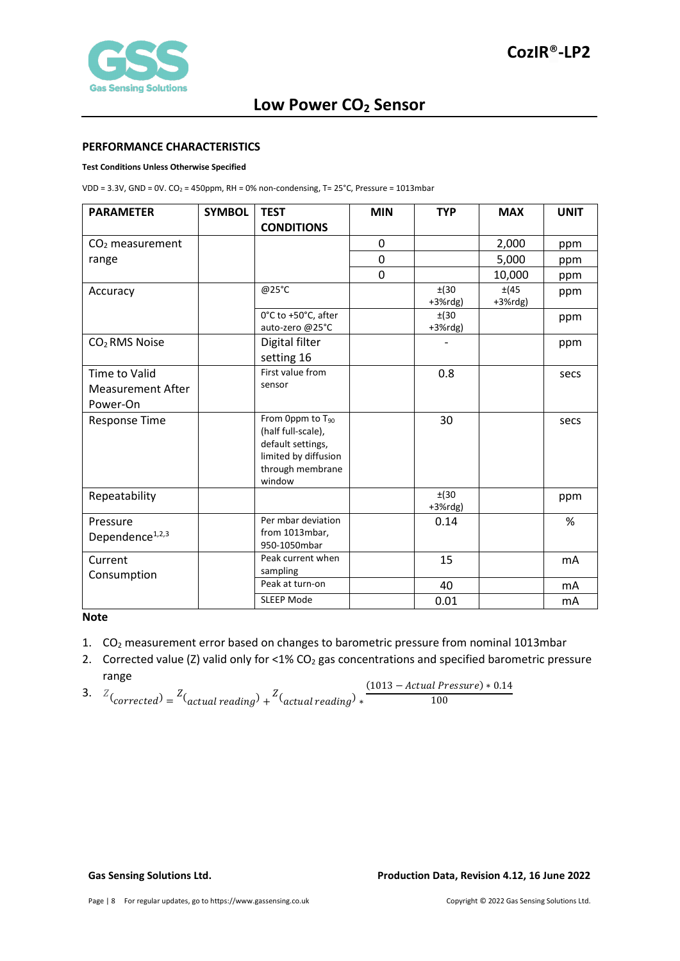

#### <span id="page-7-0"></span>**PERFORMANCE CHARACTERISTICS**

#### **Test Conditions Unless Otherwise Specified**

VDD =  $3.3V$ , GND =  $0V$ . CO<sub>2</sub> = 450ppm, RH = 0% non-condensing, T=  $25^{\circ}$ C, Pressure = 1013mbar

| <b>PARAMETER</b>                                      | <b>SYMBOL</b> | <b>TEST</b>                                                                                                                   | <b>MIN</b> | <b>TYP</b>          | <b>MAX</b>          | <b>UNIT</b>    |
|-------------------------------------------------------|---------------|-------------------------------------------------------------------------------------------------------------------------------|------------|---------------------|---------------------|----------------|
|                                                       |               | <b>CONDITIONS</b>                                                                                                             |            |                     |                     |                |
| $CO2$ measurement                                     |               |                                                                                                                               | 0          |                     | 2,000               | ppm            |
| range                                                 |               |                                                                                                                               | 0          |                     | 5,000               | ppm            |
|                                                       |               |                                                                                                                               | 0          |                     | 10,000              | ppm            |
| Accuracy                                              |               | @25°C                                                                                                                         |            | ±(30)<br>$+3%$ rdg) | ±(45)<br>$+3%$ rdg) | ppm            |
|                                                       |               | 0°C to +50°C, after<br>auto-zero @25°C                                                                                        |            | ±(30)<br>$+3%$ rdg) |                     | ppm            |
| CO <sub>2</sub> RMS Noise                             |               | Digital filter<br>setting 16                                                                                                  |            |                     |                     | ppm            |
| Time to Valid<br><b>Measurement After</b><br>Power-On |               | First value from<br>sensor                                                                                                    |            | 0.8                 |                     | secs           |
| Response Time                                         |               | From Oppm to T <sub>90</sub><br>(half full-scale),<br>default settings,<br>limited by diffusion<br>through membrane<br>window |            | 30                  |                     | secs           |
| Repeatability                                         |               |                                                                                                                               |            | ±(30)<br>$+3%$ rdg) |                     | ppm            |
| Pressure<br>Dependence <sup>1,2,3</sup>               |               | Per mbar deviation<br>from 1013mbar,<br>950-1050mbar                                                                          |            | 0.14                |                     | $\%$           |
| Current<br>Consumption                                |               | Peak current when<br>sampling                                                                                                 |            | 15                  |                     | m <sub>A</sub> |
|                                                       |               | Peak at turn-on                                                                                                               |            | 40                  |                     | mA             |
|                                                       |               | <b>SLEEP Mode</b>                                                                                                             |            | 0.01                |                     | mA             |

#### **Note**

- 1. CO<sub>2</sub> measurement error based on changes to barometric pressure from nominal 1013mbar
- 2. Corrected value (Z) valid only for <1% CO<sub>2</sub> gas concentrations and specified barometric pressure range

3. 
$$
Z_{\text{(corrected)}} = Z_{\text{(actual reading)}} + Z_{\text{(actual reading)}} \times \frac{(1013 - \text{Actual Pressure}) * 0.14}{100}
$$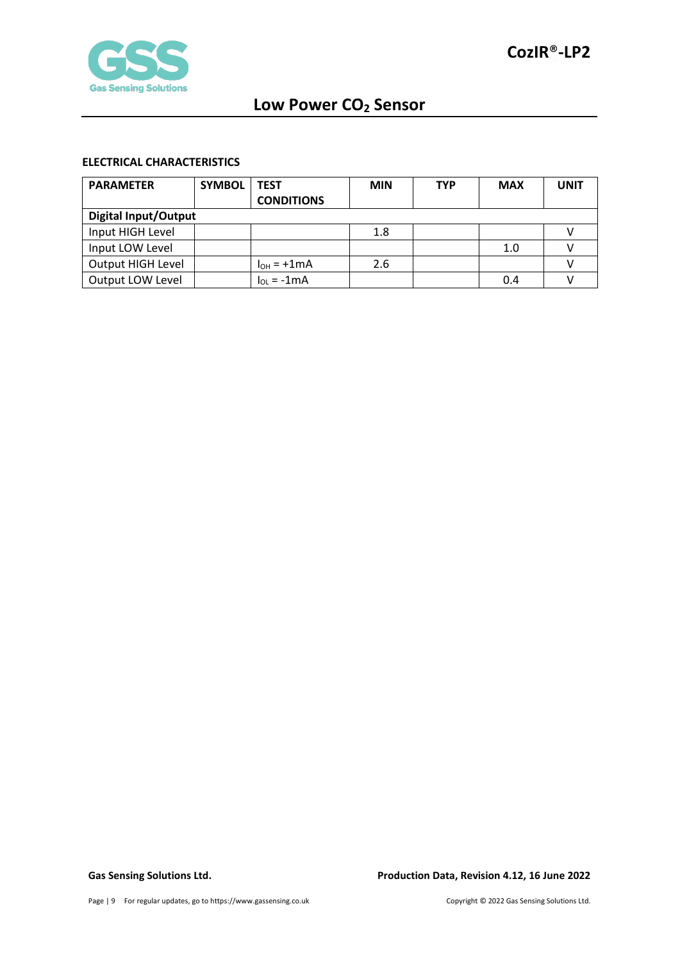

### <span id="page-8-0"></span>**ELECTRICAL CHARACTERISTICS**

| <b>PARAMETER</b>            | <b>SYMBOL</b> | TEST              | <b>MIN</b> | <b>TYP</b> | <b>MAX</b> | <b>UNIT</b> |
|-----------------------------|---------------|-------------------|------------|------------|------------|-------------|
|                             |               | <b>CONDITIONS</b> |            |            |            |             |
| <b>Digital Input/Output</b> |               |                   |            |            |            |             |
| Input HIGH Level            |               |                   | 1.8        |            |            |             |
| Input LOW Level             |               |                   |            |            | 1.0        |             |
| Output HIGH Level           |               | $I_{OH} = +1mA$   | 2.6        |            |            |             |
| Output LOW Level            |               | $I_{01} = -1mA$   |            |            | 0.4        |             |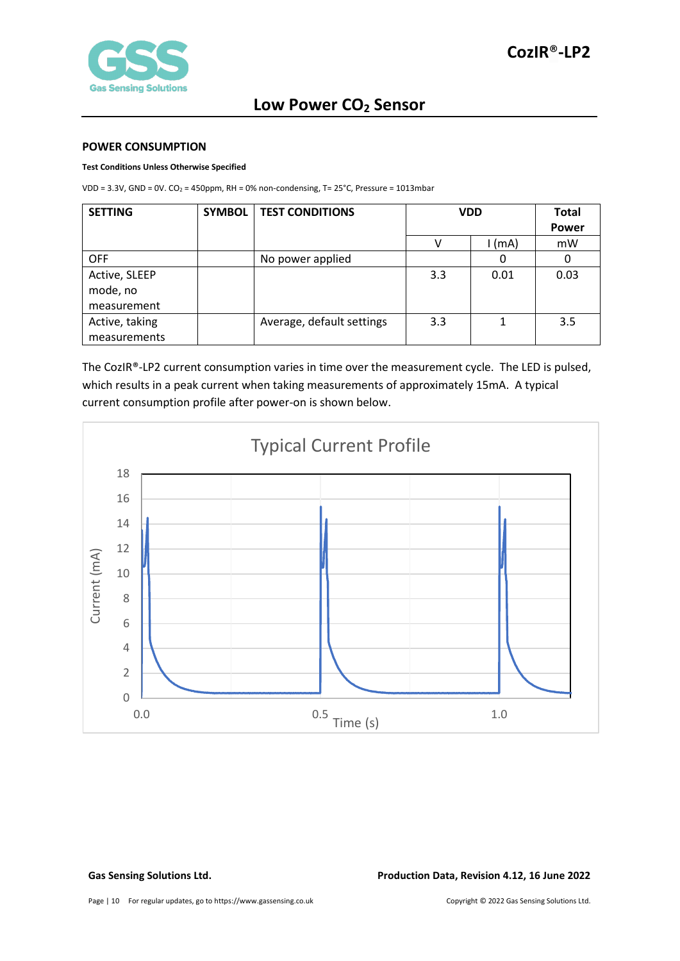#### <span id="page-9-0"></span>**POWER CONSUMPTION**

#### **Test Conditions Unless Otherwise Specified**

VDD =  $3.3V$ , GND =  $0V$ . CO<sub>2</sub> = 450ppm, RH = 0% non-condensing, T=  $25^{\circ}$ C, Pressure = 1013mbar

| <b>SETTING</b> | SYMBOL | <b>TEST CONDITIONS</b>    | <b>VDD</b> |          | Total        |
|----------------|--------|---------------------------|------------|----------|--------------|
|                |        |                           |            |          | <b>Power</b> |
|                |        |                           |            | $1$ (mA) | mW           |
| <b>OFF</b>     |        | No power applied          |            | O        | 0            |
| Active, SLEEP  |        |                           | 3.3        | 0.01     | 0.03         |
| mode, no       |        |                           |            |          |              |
| measurement    |        |                           |            |          |              |
| Active, taking |        | Average, default settings | 3.3        |          | 3.5          |
| measurements   |        |                           |            |          |              |

The CozIR®-LP2 current consumption varies in time over the measurement cycle. The LED is pulsed, which results in a peak current when taking measurements of approximately 15mA. A typical current consumption profile after power-on is shown below.



**Gas Sensing Solutions Ltd. Production Data, Revision 4.12, 16 June 2022**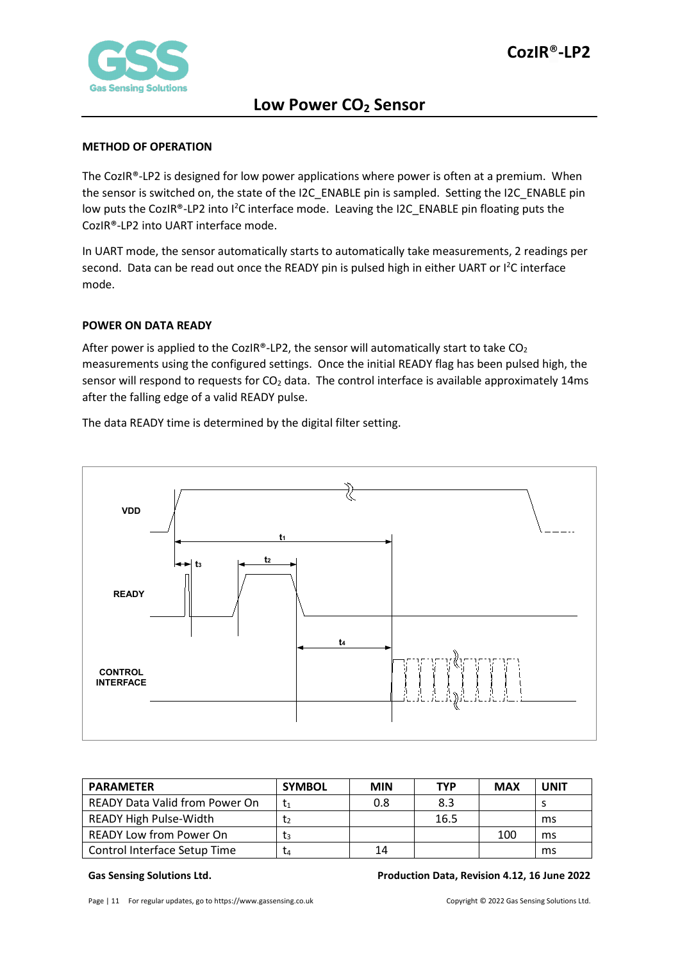

#### <span id="page-10-0"></span>**METHOD OF OPERATION**

The CozIR®-LP2 is designed for low power applications where power is often at a premium. When the sensor is switched on, the state of the I2C\_ENABLE pin is sampled. Setting the I2C\_ENABLE pin low puts the CozIR®-LP2 into I<sup>2</sup>C interface mode. Leaving the I2C\_ENABLE pin floating puts the CozIR®-LP2 into UART interface mode.

In UART mode, the sensor automatically starts to automatically take measurements, 2 readings per second. Data can be read out once the READY pin is pulsed high in either UART or l<sup>2</sup>C interface mode.

#### <span id="page-10-1"></span>**POWER ON DATA READY**

After power is applied to the CozIR®-LP2, the sensor will automatically start to take  $CO<sub>2</sub>$ measurements using the configured settings. Once the initial READY flag has been pulsed high, the sensor will respond to requests for  $CO<sub>2</sub>$  data. The control interface is available approximately 14ms after the falling edge of a valid READY pulse.

**READY t2 t1 CONTROL INTERFACE t3 t4 VDD**

The data READY time is determined by the digital filter setting.

| <b>PARAMETER</b>                      | <b>SYMBOL</b>  | MIN | <b>TYP</b> | <b>MAX</b> | <b>JNIT</b> |
|---------------------------------------|----------------|-----|------------|------------|-------------|
| <b>READY Data Valid from Power On</b> | t1             | 0.8 | 8.3        |            |             |
| <b>READY High Pulse-Width</b>         | Ţэ             |     | 16.5       |            | ms          |
| <b>READY Low from Power On</b>        | $\mathsf{t}_3$ |     |            | 100        | ms          |
| Control Interface Setup Time          | T4             | 14  |            |            | ms          |

#### **Gas Sensing Solutions Ltd. Production Data, Revision 4.12, 16 June 2022**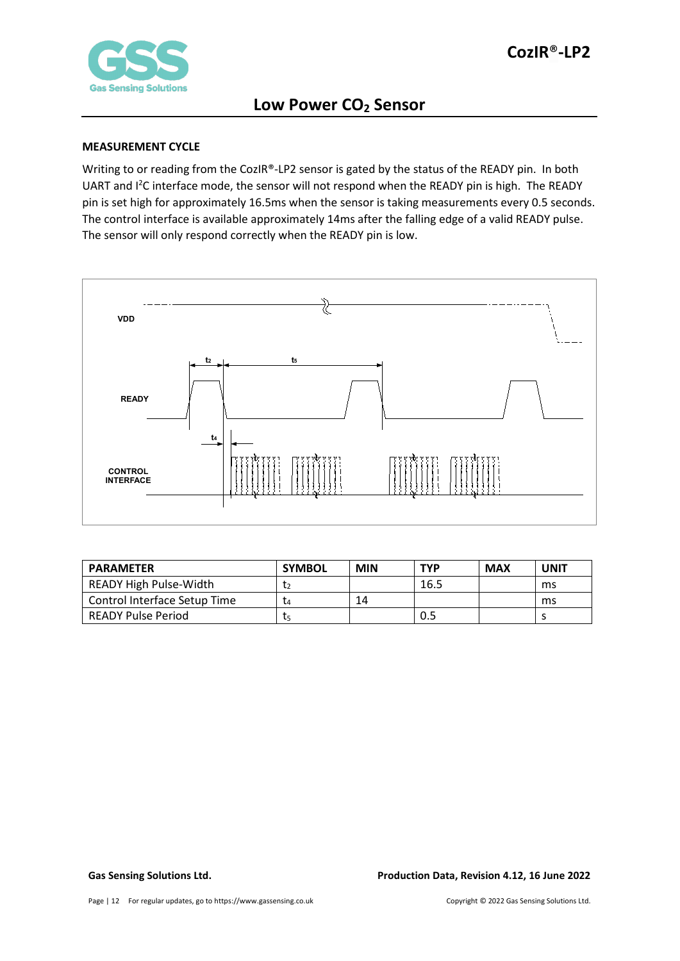

#### <span id="page-11-0"></span>**MEASUREMENT CYCLE**

Writing to or reading from the CozIR®-LP2 sensor is gated by the status of the READY pin. In both UART and <sup>12</sup>C interface mode, the sensor will not respond when the READY pin is high. The READY pin is set high for approximately 16.5ms when the sensor is taking measurements every 0.5 seconds. The control interface is available approximately 14ms after the falling edge of a valid READY pulse. The sensor will only respond correctly when the READY pin is low.



| <b>PARAMETER</b>              | <b>SYMBOL</b> | <b>MIN</b> | <b>TYP</b> | <b>MAX</b> | UNIT |
|-------------------------------|---------------|------------|------------|------------|------|
| <b>READY High Pulse-Width</b> |               |            | 16.5       |            | ms   |
| Control Interface Setup Time  | L4            | 14         |            |            | ms   |
| READY Pulse Period            | ις            |            | 0.5        |            |      |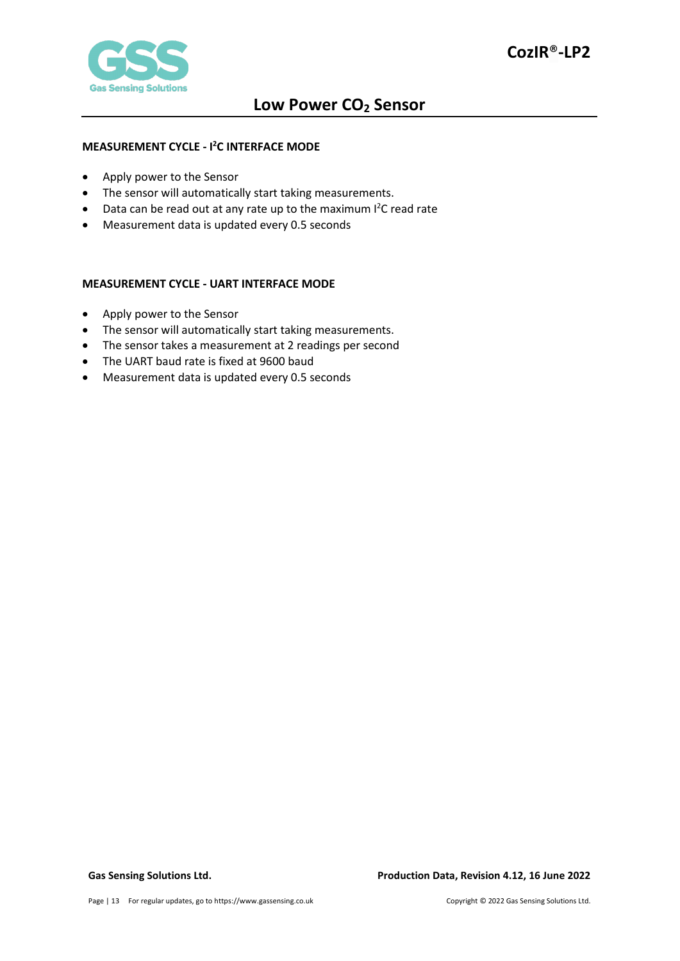

#### <span id="page-12-0"></span>**MEASUREMENT CYCLE - I 2 C INTERFACE MODE**

- Apply power to the Sensor
- The sensor will automatically start taking measurements.
- Data can be read out at any rate up to the maximum I<sup>2</sup>C read rate
- Measurement data is updated every 0.5 seconds

#### <span id="page-12-1"></span>**MEASUREMENT CYCLE - UART INTERFACE MODE**

- Apply power to the Sensor
- The sensor will automatically start taking measurements.
- The sensor takes a measurement at 2 readings per second
- The UART baud rate is fixed at 9600 baud
- Measurement data is updated every 0.5 seconds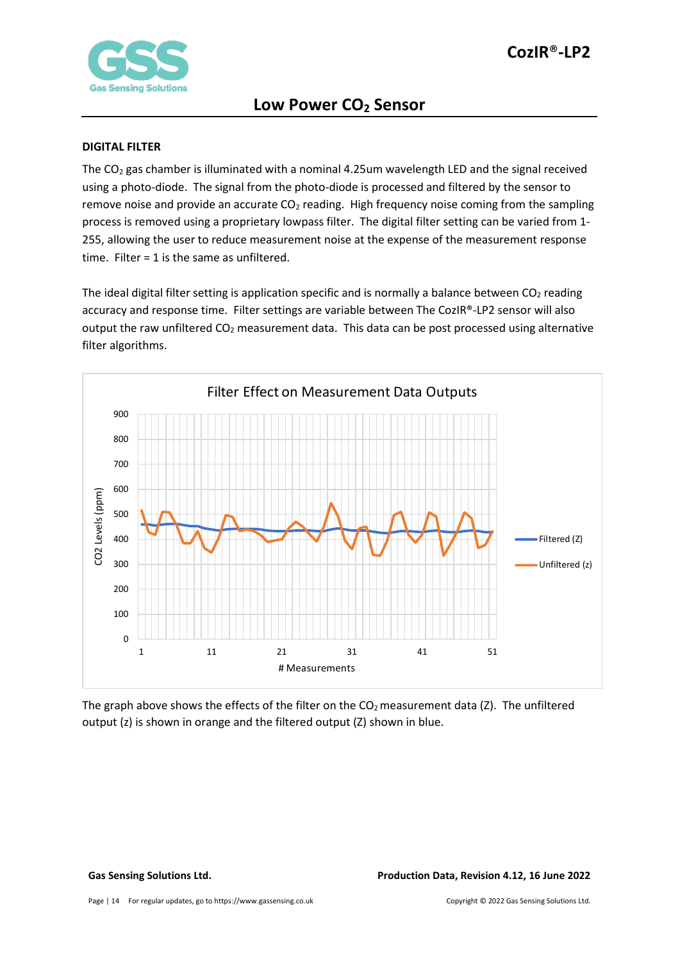

#### <span id="page-13-0"></span>**DIGITAL FILTER**

The  $CO<sub>2</sub>$  gas chamber is illuminated with a nominal 4.25um wavelength LED and the signal received using a photo-diode. The signal from the photo-diode is processed and filtered by the sensor to remove noise and provide an accurate  $CO<sub>2</sub>$  reading. High frequency noise coming from the sampling process is removed using a proprietary lowpass filter. The digital filter setting can be varied from 1- 255, allowing the user to reduce measurement noise at the expense of the measurement response time. Filter = 1 is the same as unfiltered.

The ideal digital filter setting is application specific and is normally a balance between  $CO<sub>2</sub>$  reading accuracy and response time. Filter settings are variable between The CozIR®-LP2 sensor will also output the raw unfiltered CO<sub>2</sub> measurement data. This data can be post processed using alternative filter algorithms.



The graph above shows the effects of the filter on the  $CO<sub>2</sub>$  measurement data (Z). The unfiltered output (z) is shown in orange and the filtered output (Z) shown in blue.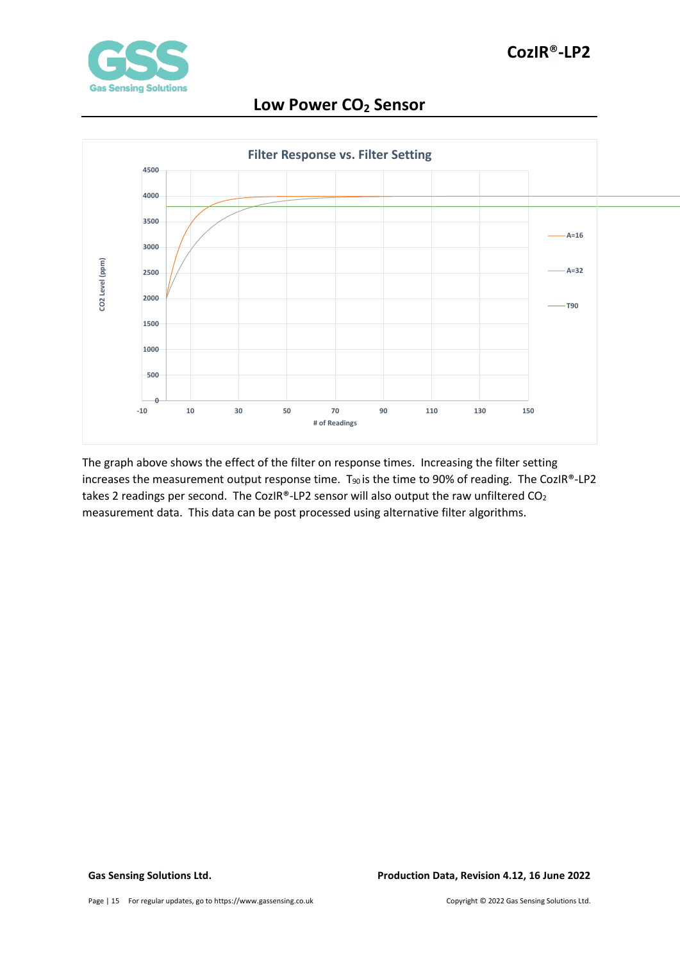



The graph above shows the effect of the filter on response times. Increasing the filter setting increases the measurement output response time.  $T_{90}$  is the time to 90% of reading. The CozIR®-LP2 takes 2 readings per second. The CozIR®-LP2 sensor will also output the raw unfiltered  $CO<sub>2</sub>$ measurement data. This data can be post processed using alternative filter algorithms.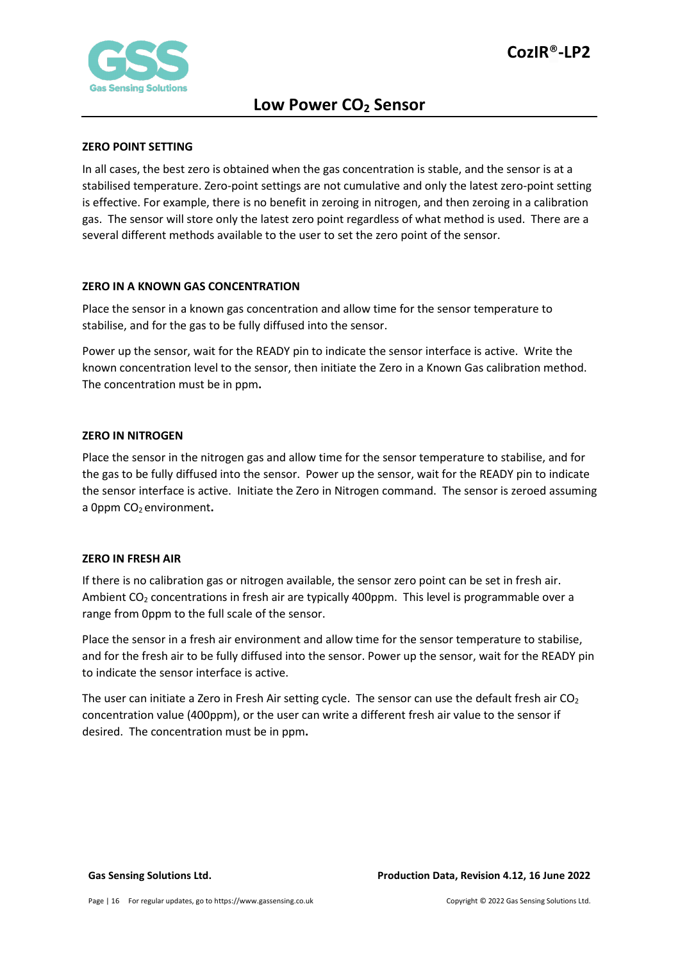

#### <span id="page-15-0"></span>**ZERO POINT SETTING**

In all cases, the best zero is obtained when the gas concentration is stable, and the sensor is at a stabilised temperature. Zero-point settings are not cumulative and only the latest zero-point setting is effective. For example, there is no benefit in zeroing in nitrogen, and then zeroing in a calibration gas. The sensor will store only the latest zero point regardless of what method is used. There are a several different methods available to the user to set the zero point of the sensor.

#### <span id="page-15-1"></span>**ZERO IN A KNOWN GAS CONCENTRATION**

Place the sensor in a known gas concentration and allow time for the sensor temperature to stabilise, and for the gas to be fully diffused into the sensor.

Power up the sensor, wait for the READY pin to indicate the sensor interface is active. Write the known concentration level to the sensor, then initiate the Zero in a Known Gas calibration method. The concentration must be in ppm**.**

#### <span id="page-15-2"></span>**ZERO IN NITROGEN**

Place the sensor in the nitrogen gas and allow time for the sensor temperature to stabilise, and for the gas to be fully diffused into the sensor. Power up the sensor, wait for the READY pin to indicate the sensor interface is active. Initiate the Zero in Nitrogen command. The sensor is zeroed assuming a 0ppm CO<sub>2</sub> environment.

#### <span id="page-15-3"></span>**ZERO IN FRESH AIR**

If there is no calibration gas or nitrogen available, the sensor zero point can be set in fresh air. Ambient CO<sub>2</sub> concentrations in fresh air are typically 400ppm. This level is programmable over a range from 0ppm to the full scale of the sensor.

Place the sensor in a fresh air environment and allow time for the sensor temperature to stabilise, and for the fresh air to be fully diffused into the sensor. Power up the sensor, wait for the READY pin to indicate the sensor interface is active.

The user can initiate a Zero in Fresh Air setting cycle. The sensor can use the default fresh air  $CO<sub>2</sub>$ concentration value (400ppm), or the user can write a different fresh air value to the sensor if desired. The concentration must be in ppm**.**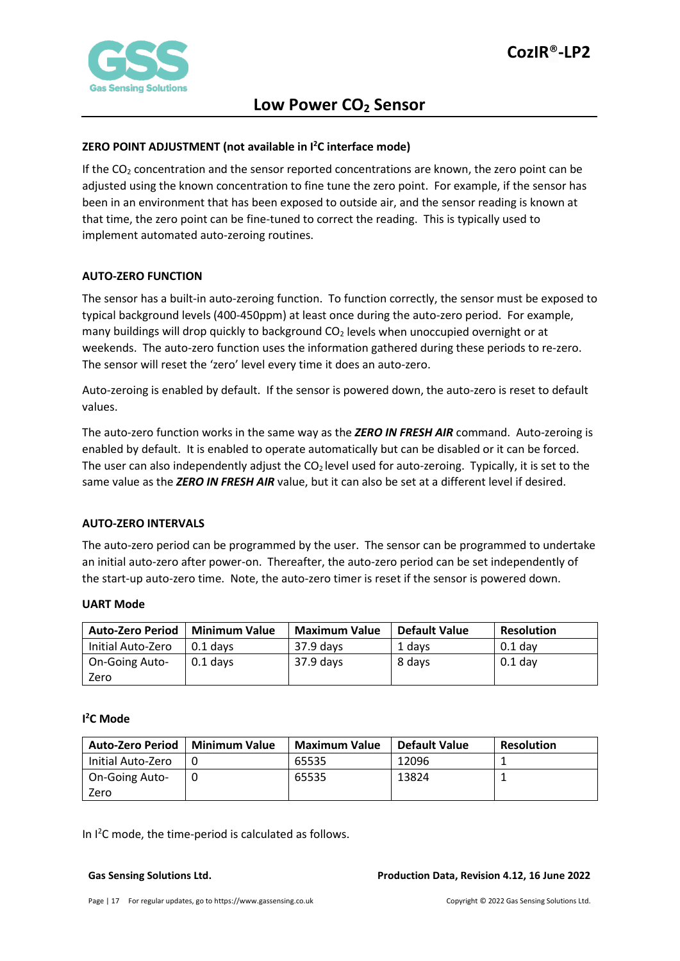

### <span id="page-16-0"></span>**ZERO POINT ADJUSTMENT (not available in I2 C interface mode)**

If the  $CO<sub>2</sub>$  concentration and the sensor reported concentrations are known, the zero point can be adjusted using the known concentration to fine tune the zero point. For example, if the sensor has been in an environment that has been exposed to outside air, and the sensor reading is known at that time, the zero point can be fine-tuned to correct the reading. This is typically used to implement automated auto-zeroing routines.

#### <span id="page-16-1"></span>**AUTO-ZERO FUNCTION**

The sensor has a built-in auto-zeroing function. To function correctly, the sensor must be exposed to typical background levels (400-450ppm) at least once during the auto-zero period. For example, many buildings will drop quickly to background  $CO<sub>2</sub>$  levels when unoccupied overnight or at weekends. The auto-zero function uses the information gathered during these periods to re-zero. The sensor will reset the 'zero' level every time it does an auto-zero.

Auto-zeroing is enabled by default. If the sensor is powered down, the auto-zero is reset to default values.

The auto-zero function works in the same way as the *ZERO IN FRESH AIR* command. Auto-zeroing is enabled by default. It is enabled to operate automatically but can be disabled or it can be forced. The user can also independently adjust the  $CO<sub>2</sub>$  level used for auto-zeroing. Typically, it is set to the same value as the *ZERO IN FRESH AIR* value, but it can also be set at a different level if desired.

#### <span id="page-16-2"></span>**AUTO-ZERO INTERVALS**

The auto-zero period can be programmed by the user. The sensor can be programmed to undertake an initial auto-zero after power-on. Thereafter, the auto-zero period can be set independently of the start-up auto-zero time. Note, the auto-zero timer is reset if the sensor is powered down.

#### **UART Mode**

| <b>Auto-Zero Period</b> | <b>Minimum Value</b> | <b>Maximum Value</b> | Default Value | <b>Resolution</b> |
|-------------------------|----------------------|----------------------|---------------|-------------------|
| Initial Auto-Zero       | 0.1 davs             | 37.9 days            | 1 davs        | $0.1$ dav         |
| On-Going Auto-          | 0.1 days             | $37.9$ days          | 8 days        | $0.1$ day         |
| Zero                    |                      |                      |               |                   |

### **I 2 C Mode**

| Auto-Zero Period      | <b>Minimum Value</b> | <b>Maximum Value</b> | Default Value | <b>Resolution</b> |
|-----------------------|----------------------|----------------------|---------------|-------------------|
| Initial Auto-Zero     |                      | 65535                | 12096         |                   |
| <b>On-Going Auto-</b> |                      | 65535                | 13824         |                   |
| Zero                  |                      |                      |               |                   |

In  $l^2$ C mode, the time-period is calculated as follows.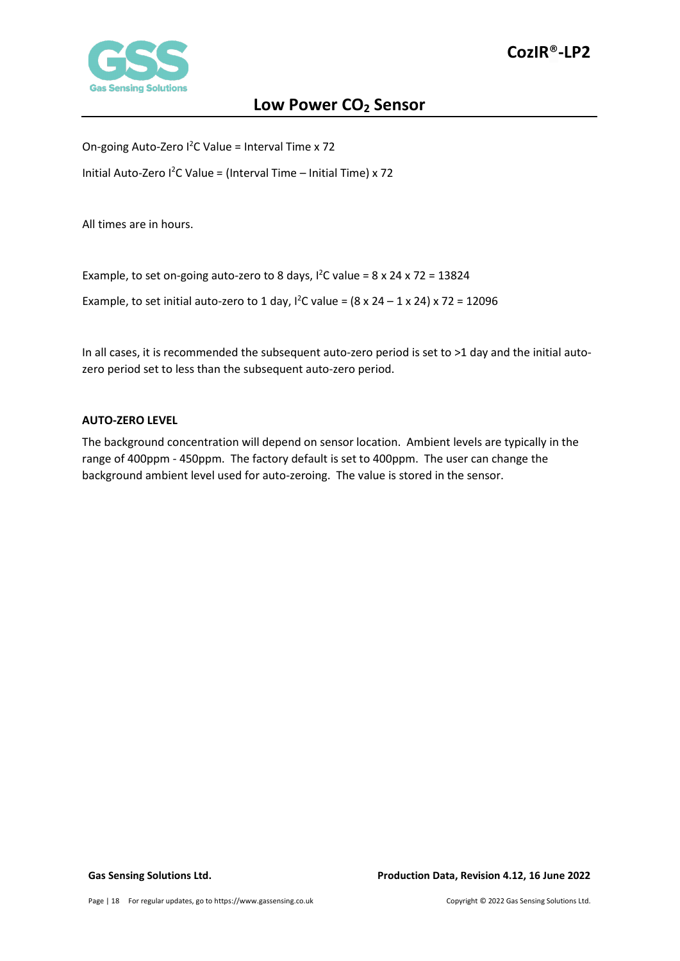

On-going Auto-Zero  $1^2C$  Value = Interval Time x 72

Initial Auto-Zero  $1^2C$  Value = (Interval Time - Initial Time) x 72

All times are in hours.

Example, to set on-going auto-zero to 8 days,  $1^2C$  value = 8 x 24 x 72 = 13824

Example, to set initial auto-zero to 1 day,  $1^2C$  value = (8 x 24 – 1 x 24) x 72 = 12096

In all cases, it is recommended the subsequent auto-zero period is set to >1 day and the initial autozero period set to less than the subsequent auto-zero period.

#### <span id="page-17-0"></span>**AUTO-ZERO LEVEL**

The background concentration will depend on sensor location. Ambient levels are typically in the range of 400ppm - 450ppm. The factory default is set to 400ppm. The user can change the background ambient level used for auto-zeroing. The value is stored in the sensor.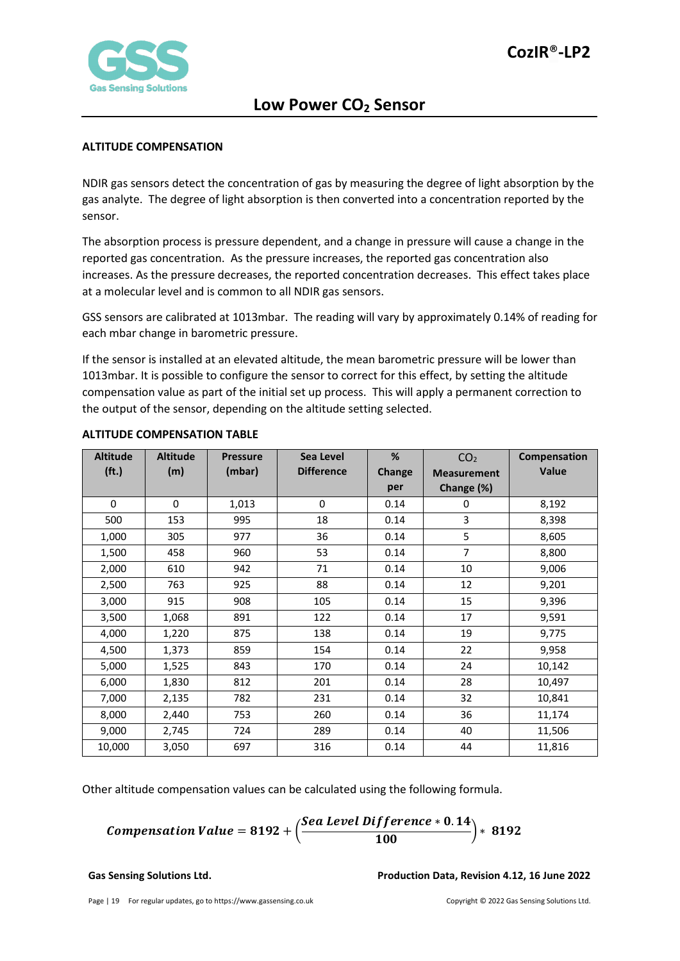

#### <span id="page-18-0"></span>**ALTITUDE COMPENSATION**

NDIR gas sensors detect the concentration of gas by measuring the degree of light absorption by the gas analyte. The degree of light absorption is then converted into a concentration reported by the sensor.

The absorption process is pressure dependent, and a change in pressure will cause a change in the reported gas concentration. As the pressure increases, the reported gas concentration also increases. As the pressure decreases, the reported concentration decreases. This effect takes place at a molecular level and is common to all NDIR gas sensors.

GSS sensors are calibrated at 1013mbar. The reading will vary by approximately 0.14% of reading for each mbar change in barometric pressure.

If the sensor is installed at an elevated altitude, the mean barometric pressure will be lower than 1013mbar. It is possible to configure the sensor to correct for this effect, by setting the altitude compensation value as part of the initial set up process. This will apply a permanent correction to the output of the sensor, depending on the altitude setting selected.

| <b>Altitude</b>   | <b>Altitude</b> | <b>Pressure</b> | Sea Level         | %      | CO <sub>2</sub>    | Compensation |
|-------------------|-----------------|-----------------|-------------------|--------|--------------------|--------------|
| (f <sub>t</sub> ) | (m)             | (mbar)          | <b>Difference</b> | Change | <b>Measurement</b> | Value        |
|                   |                 |                 |                   | per    | Change (%)         |              |
| 0                 | 0               | 1,013           | 0                 | 0.14   | 0                  | 8,192        |
| 500               | 153             | 995             | 18                | 0.14   | 3                  | 8,398        |
| 1,000             | 305             | 977             | 36                | 0.14   | 5                  | 8,605        |
| 1,500             | 458             | 960             | 53                | 0.14   | $\overline{7}$     | 8,800        |
| 2,000             | 610             | 942             | 71                | 0.14   | 10                 | 9,006        |
| 2,500             | 763             | 925             | 88                | 0.14   | 12                 | 9,201        |
| 3,000             | 915             | 908             | 105               | 0.14   | 15                 | 9,396        |
| 3,500             | 1,068           | 891             | 122               | 0.14   | 17                 | 9,591        |
| 4,000             | 1,220           | 875             | 138               | 0.14   | 19                 | 9,775        |
| 4,500             | 1,373           | 859             | 154               | 0.14   | 22                 | 9,958        |
| 5,000             | 1,525           | 843             | 170               | 0.14   | 24                 | 10,142       |
| 6,000             | 1,830           | 812             | 201               | 0.14   | 28                 | 10,497       |
| 7,000             | 2,135           | 782             | 231               | 0.14   | 32                 | 10,841       |
| 8,000             | 2,440           | 753             | 260               | 0.14   | 36                 | 11,174       |
| 9,000             | 2,745           | 724             | 289               | 0.14   | 40                 | 11,506       |
| 10,000            | 3,050           | 697             | 316               | 0.14   | 44                 | 11,816       |

#### <span id="page-18-1"></span>**ALTITUDE COMPENSATION TABLE**

Other altitude compensation values can be calculated using the following formula.

**Comparison Value = 8192 +** 
$$
\left( \frac{
$$
 **See Level Difference** \* **0.14 0.192 3192**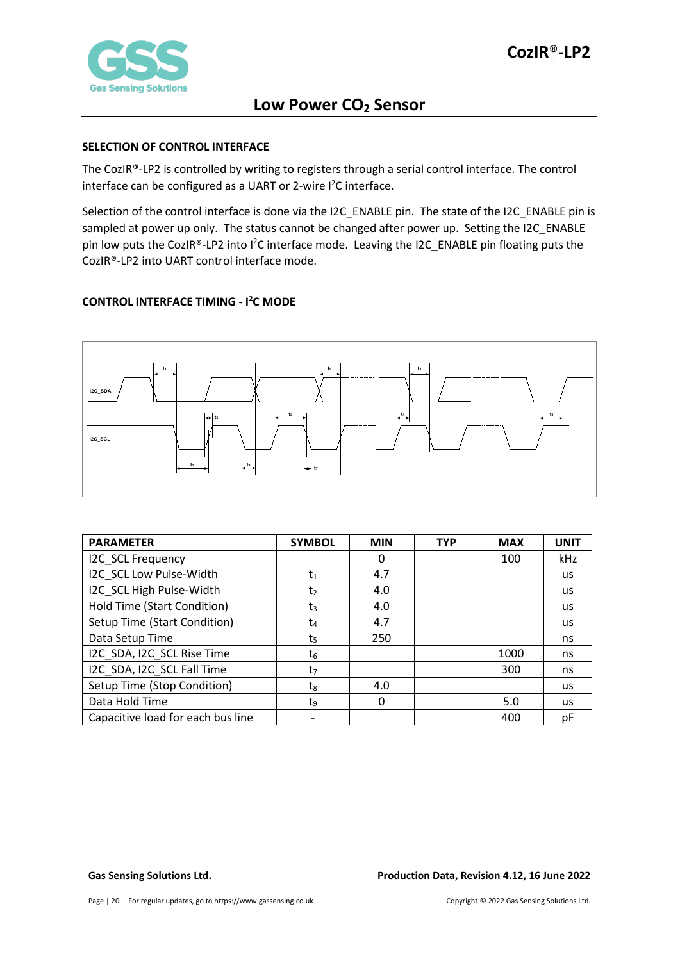

#### <span id="page-19-0"></span>**SELECTION OF CONTROL INTERFACE**

The CozIR®-LP2 is controlled by writing to registers through a serial control interface. The control interface can be configured as a UART or 2-wire  $l^2C$  interface.

Selection of the control interface is done via the I2C\_ENABLE pin. The state of the I2C\_ENABLE pin is sampled at power up only. The status cannot be changed after power up. Setting the I2C\_ENABLE pin low puts the CozIR®-LP2 into I<sup>2</sup>C interface mode. Leaving the I2C\_ENABLE pin floating puts the CozIR®-LP2 into UART control interface mode.

### <span id="page-19-1"></span>**CONTROL INTERFACE TIMING - I 2 C MODE**



| <b>PARAMETER</b>                  | <b>SYMBOL</b>  | <b>MIN</b> | <b>TYP</b> | <b>MAX</b> | <b>UNIT</b> |
|-----------------------------------|----------------|------------|------------|------------|-------------|
| I2C SCL Frequency                 |                | 0          |            | 100        | kHz         |
| I2C SCL Low Pulse-Width           | t1             | 4.7        |            |            | <b>us</b>   |
| I2C SCL High Pulse-Width          | t              | 4.0        |            |            | us          |
| Hold Time (Start Condition)       | $t_3$          | 4.0        |            |            | us.         |
| Setup Time (Start Condition)      | t4             | 4.7        |            |            | us.         |
| Data Setup Time                   | ts             | 250        |            |            | ns          |
| I2C SDA, I2C SCL Rise Time        | t6             |            |            | 1000       | ns          |
| I2C_SDA, I2C_SCL Fall Time        | t <sub>7</sub> |            |            | 300        | ns          |
| Setup Time (Stop Condition)       | tg             | 4.0        |            |            | <b>us</b>   |
| Data Hold Time                    | tq             | 0          |            | 5.0        | us.         |
| Capacitive load for each bus line |                |            |            | 400        | рF          |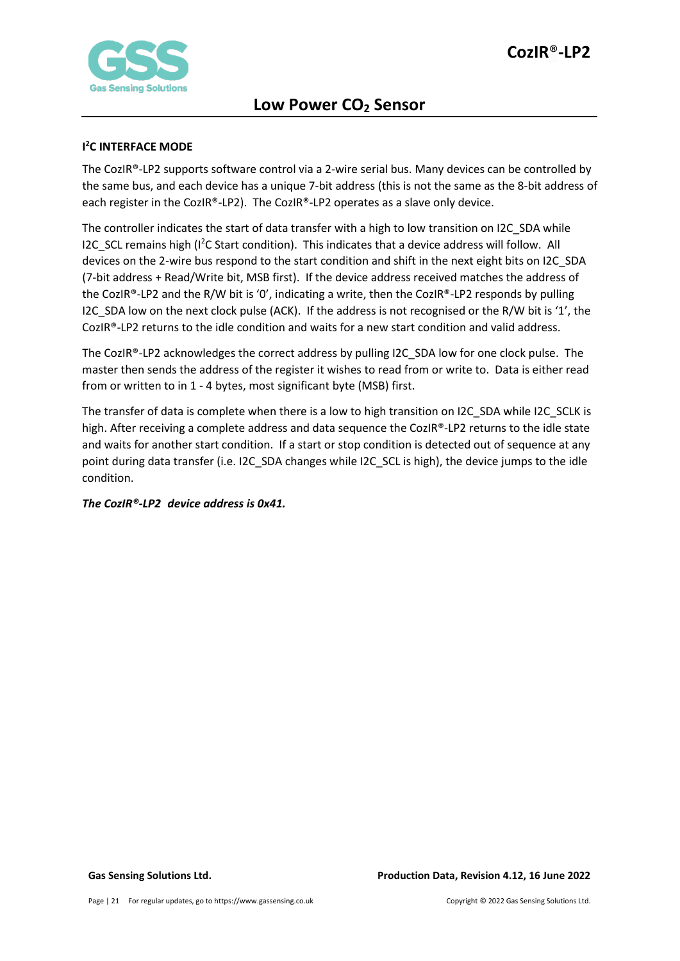

### <span id="page-20-0"></span>**I 2 C INTERFACE MODE**

The CozIR®-LP2 supports software control via a 2-wire serial bus. Many devices can be controlled by the same bus, and each device has a unique 7-bit address (this is not the same as the 8-bit address of each register in the CozIR®-LP2). The CozIR®-LP2 operates as a slave only device.

The controller indicates the start of data transfer with a high to low transition on I2C\_SDA while I2C\_SCL remains high (I<sup>2</sup>C Start condition). This indicates that a device address will follow. All devices on the 2-wire bus respond to the start condition and shift in the next eight bits on I2C\_SDA (7-bit address + Read/Write bit, MSB first). If the device address received matches the address of the CozIR®-LP2 and the R/W bit is '0', indicating a write, then the CozIR®-LP2 responds by pulling I2C SDA low on the next clock pulse (ACK). If the address is not recognised or the R/W bit is '1', the CozIR®-LP2 returns to the idle condition and waits for a new start condition and valid address.

The CozIR®-LP2 acknowledges the correct address by pulling I2C\_SDA low for one clock pulse. The master then sends the address of the register it wishes to read from or write to. Data is either read from or written to in 1 - 4 bytes, most significant byte (MSB) first.

The transfer of data is complete when there is a low to high transition on I2C\_SDA while I2C\_SCLK is high. After receiving a complete address and data sequence the CozIR®-LP2 returns to the idle state and waits for another start condition. If a start or stop condition is detected out of sequence at any point during data transfer (i.e. I2C\_SDA changes while I2C\_SCL is high), the device jumps to the idle condition.

### *The CozIR®-LP2 device address is 0x41.*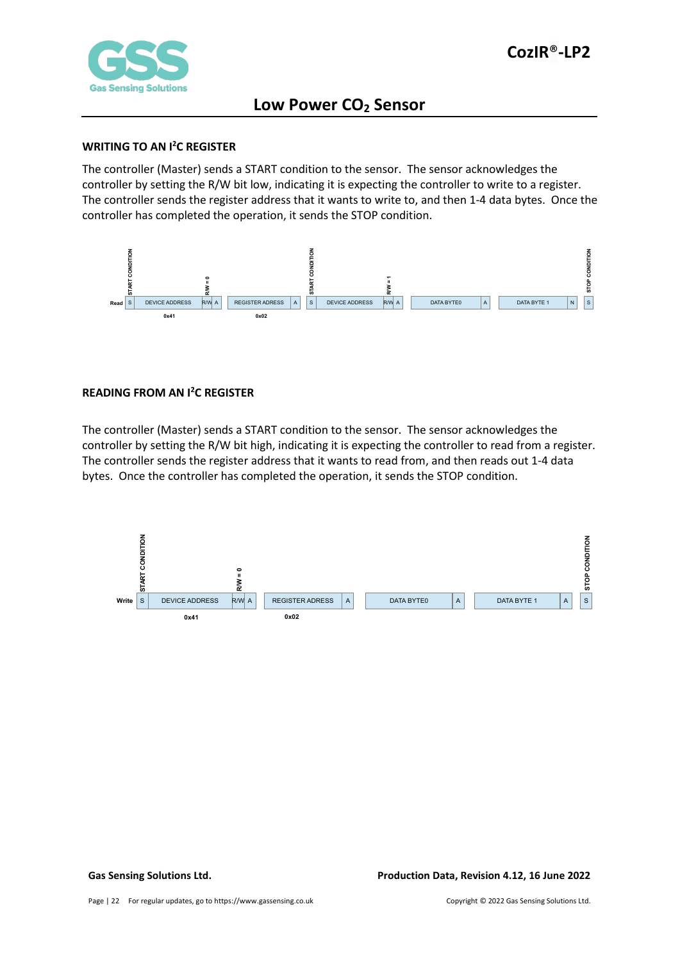

#### <span id="page-21-0"></span>**WRITING TO AN I2 C REGISTER**

The controller (Master) sends a START condition to the sensor. The sensor acknowledges the controller by setting the R/W bit low, indicating it is expecting the controller to write to a register. The controller sends the register address that it wants to write to, and then 1-4 data bytes. Once the controller has completed the operation, it sends the STOP condition.



### <span id="page-21-1"></span>**READING FROM AN I2 C REGISTER**

The controller (Master) sends a START condition to the sensor. The sensor acknowledges the controller by setting the R/W bit high, indicating it is expecting the controller to read from a register. The controller sends the register address that it wants to read from, and then reads out 1-4 data bytes. Once the controller has completed the operation, it sends the STOP condition.

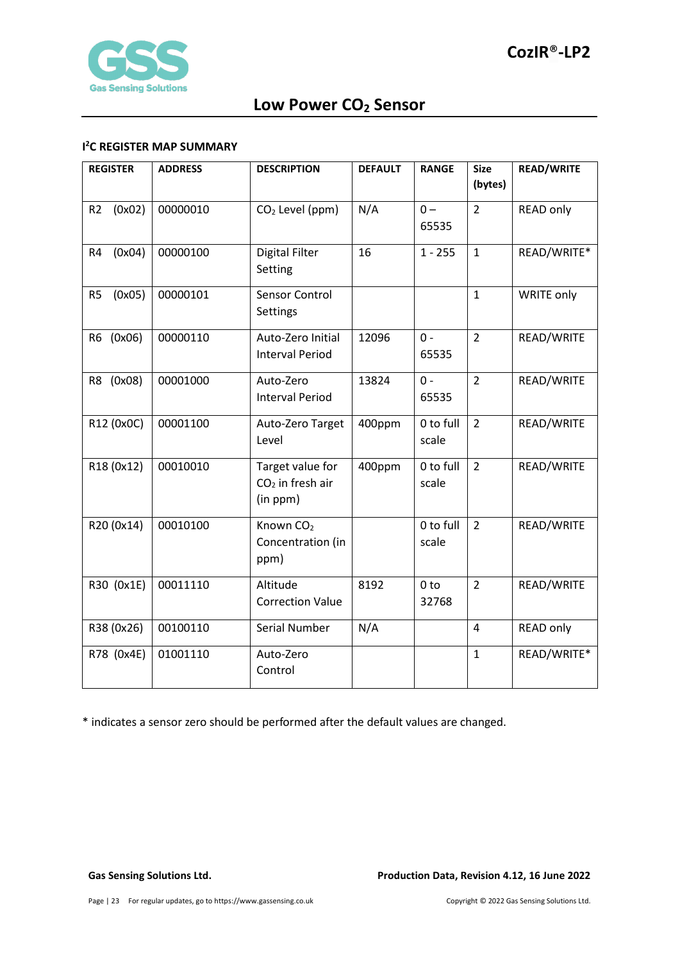

#### <span id="page-22-0"></span>**I 2 C REGISTER MAP SUMMARY**

| <b>REGISTER</b>          | <b>ADDRESS</b> | <b>DESCRIPTION</b>                                 | <b>DEFAULT</b> | <b>RANGE</b>             | <b>Size</b><br>(bytes) | <b>READ/WRITE</b> |
|--------------------------|----------------|----------------------------------------------------|----------------|--------------------------|------------------------|-------------------|
| (0x02)<br>R <sub>2</sub> | 00000010       | CO <sub>2</sub> Level (ppm)                        | N/A            | $0 -$<br>65535           | $\overline{2}$         | <b>READ only</b>  |
| (0x04)<br>R <sub>4</sub> | 00000100       | <b>Digital Filter</b><br>Setting                   | 16             | $1 - 255$                | $\mathbf{1}$           | READ/WRITE*       |
| (0x05)<br>R <sub>5</sub> | 00000101       | Sensor Control<br>Settings                         |                |                          | $\mathbf{1}$           | <b>WRITE only</b> |
| R6 (0x06)                | 00000110       | Auto-Zero Initial<br><b>Interval Period</b>        | 12096          | $0 -$<br>65535           | $\overline{2}$         | READ/WRITE        |
| R8 (0x08)                | 00001000       | Auto-Zero<br><b>Interval Period</b>                | 13824          | $0 -$<br>65535           | $\overline{2}$         | READ/WRITE        |
| R12 (0x0C)               | 00001100       | Auto-Zero Target<br>Level                          | 400ppm         | 0 to full<br>scale       | $\overline{2}$         | READ/WRITE        |
| R18 (0x12)               | 00010010       | Target value for<br>$CO2$ in fresh air<br>(in ppm) | 400ppm         | 0 to full<br>scale       | $\overline{2}$         | READ/WRITE        |
| R20 (0x14)               | 00010100       | Known CO <sub>2</sub><br>Concentration (in<br>ppm) |                | 0 to full<br>scale       | $\overline{2}$         | READ/WRITE        |
| R30 (0x1E)               | 00011110       | Altitude<br><b>Correction Value</b>                | 8192           | 0 <sub>to</sub><br>32768 | $\overline{2}$         | READ/WRITE        |
| R38 (0x26)               | 00100110       | Serial Number                                      | N/A            |                          | 4                      | <b>READ only</b>  |
| R78 (0x4E)               | 01001110       | Auto-Zero<br>Control                               |                |                          | $\mathbf{1}$           | READ/WRITE*       |

\* indicates a sensor zero should be performed after the default values are changed.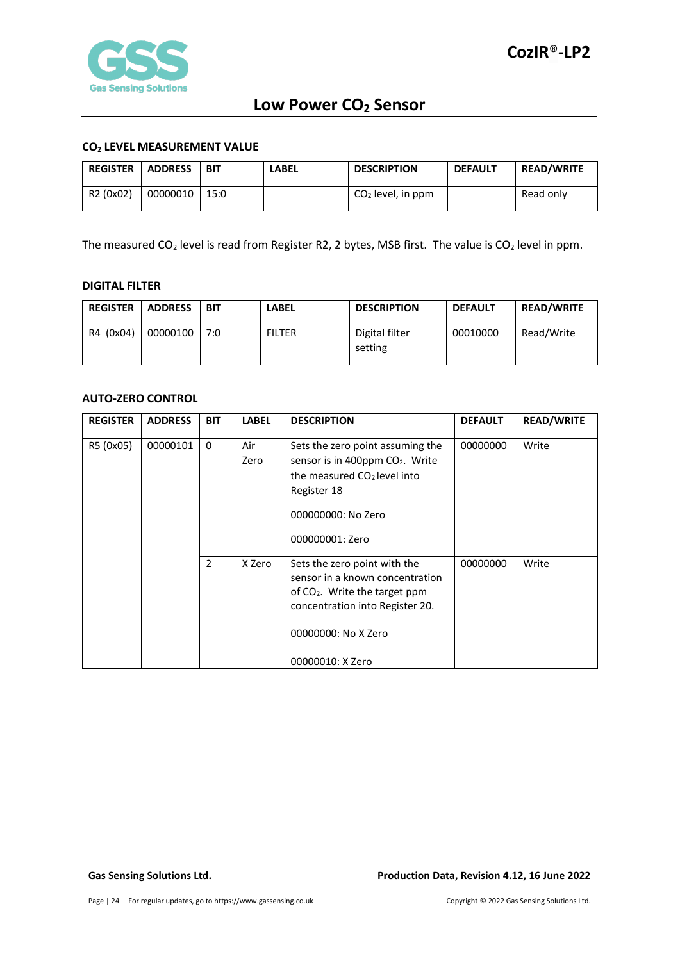

#### <span id="page-23-0"></span>**CO2 LEVEL MEASUREMENT VALUE**

| <b>REGISTER</b>       | <b>ADDRESS</b> | <b>BIT</b> | LABEL | <b>DESCRIPTION</b>  | <b>DEFAULT</b> | <b>READ/WRITE</b> |
|-----------------------|----------------|------------|-------|---------------------|----------------|-------------------|
| R <sub>2</sub> (0x02) | 00000010       | 15:0       |       | $CO2$ level, in ppm |                | Read only         |

The measured CO<sub>2</sub> level is read from Register R2, 2 bytes, MSB first. The value is CO<sub>2</sub> level in ppm.

#### <span id="page-23-1"></span>**DIGITAL FILTER**

| <b>REGISTER</b> | <b>ADDRESS</b> | BIT | LABEL         | <b>DESCRIPTION</b>        | <b>DEFAULT</b> | <b>READ/WRITE</b> |
|-----------------|----------------|-----|---------------|---------------------------|----------------|-------------------|
| R4 (0x04)       | 00000100       | 7:0 | <b>FILTER</b> | Digital filter<br>setting | 00010000       | Read/Write        |

#### <span id="page-23-2"></span>**AUTO-ZERO CONTROL**

| <b>REGISTER</b> | <b>ADDRESS</b> | <b>BIT</b>   | <b>LABEL</b> | <b>DESCRIPTION</b>                                                                                                                                                                         | <b>DEFAULT</b> | <b>READ/WRITE</b> |
|-----------------|----------------|--------------|--------------|--------------------------------------------------------------------------------------------------------------------------------------------------------------------------------------------|----------------|-------------------|
| R5 (0x05)       | 00000101       | $\mathbf{0}$ | Air<br>Zero  | Sets the zero point assuming the<br>sensor is in 400ppm CO <sub>2</sub> . Write<br>the measured CO <sub>2</sub> level into<br>Register 18<br>000000000: No Zero<br>000000001: Zero         | 00000000       | Write             |
|                 |                | 2            | X Zero       | Sets the zero point with the<br>sensor in a known concentration<br>of CO <sub>2</sub> . Write the target ppm<br>concentration into Register 20.<br>00000000: No X Zero<br>00000010: X Zero | 00000000       | Write             |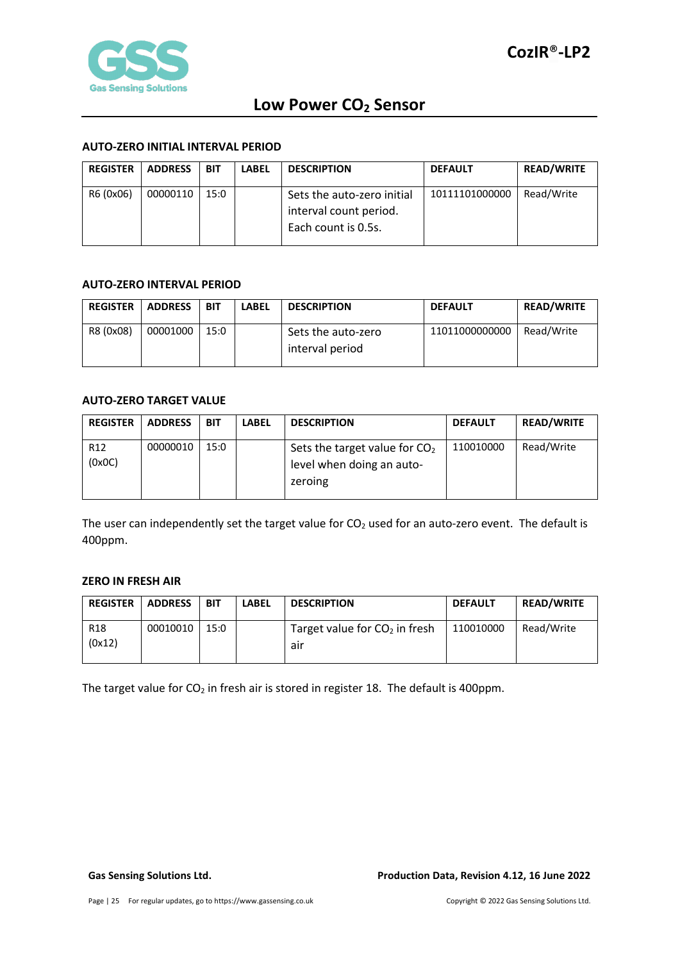

#### <span id="page-24-0"></span>**AUTO-ZERO INITIAL INTERVAL PERIOD**

| <b>REGISTER</b> | <b>ADDRESS</b> | BIT  | <b>LABEL</b> | <b>DESCRIPTION</b>         | <b>DEFAULT</b> | <b>READ/WRITE</b> |
|-----------------|----------------|------|--------------|----------------------------|----------------|-------------------|
| R6 (0x06)       | 00000110       | 15:0 |              | Sets the auto-zero initial | 10111101000000 | Read/Write        |
|                 |                |      |              | interval count period.     |                |                   |
|                 |                |      |              | Each count is 0.5s.        |                |                   |

#### <span id="page-24-1"></span>**AUTO-ZERO INTERVAL PERIOD**

| <b>REGISTER</b> | <b>ADDRESS</b> | BIT  | <b>LABEL</b> | <b>DESCRIPTION</b>                    | <b>DEFAULT</b> | <b>READ/WRITE</b> |
|-----------------|----------------|------|--------------|---------------------------------------|----------------|-------------------|
| R8 (0x08)       | 00001000       | 15:0 |              | Sets the auto-zero<br>interval period | 11011000000000 | Read/Write        |

#### <span id="page-24-2"></span>**AUTO-ZERO TARGET VALUE**

| <b>REGISTER</b>           | <b>ADDRESS</b> | BIT  | <b>LABEL</b> | <b>DESCRIPTION</b>                                                      | <b>DEFAULT</b> | <b>READ/WRITE</b> |
|---------------------------|----------------|------|--------------|-------------------------------------------------------------------------|----------------|-------------------|
| R <sub>12</sub><br>(0x0C) | 00000010       | 15:0 |              | Sets the target value for $CO2$<br>level when doing an auto-<br>zeroing | 110010000      | Read/Write        |

The user can independently set the target value for  $CO<sub>2</sub>$  used for an auto-zero event. The default is 400ppm.

### <span id="page-24-3"></span>**ZERO IN FRESH AIR**

| <b>REGISTER</b>           | <b>ADDRESS</b> | BIT  | <b>LABEL</b> | <b>DESCRIPTION</b>                     | <b>DEFAULT</b> | <b>READ/WRITE</b> |
|---------------------------|----------------|------|--------------|----------------------------------------|----------------|-------------------|
| R <sub>18</sub><br>(0x12) | 00010010       | 15:0 |              | Target value for $CO2$ in fresh<br>air | 110010000      | Read/Write        |

The target value for  $CO<sub>2</sub>$  in fresh air is stored in register 18. The default is 400ppm.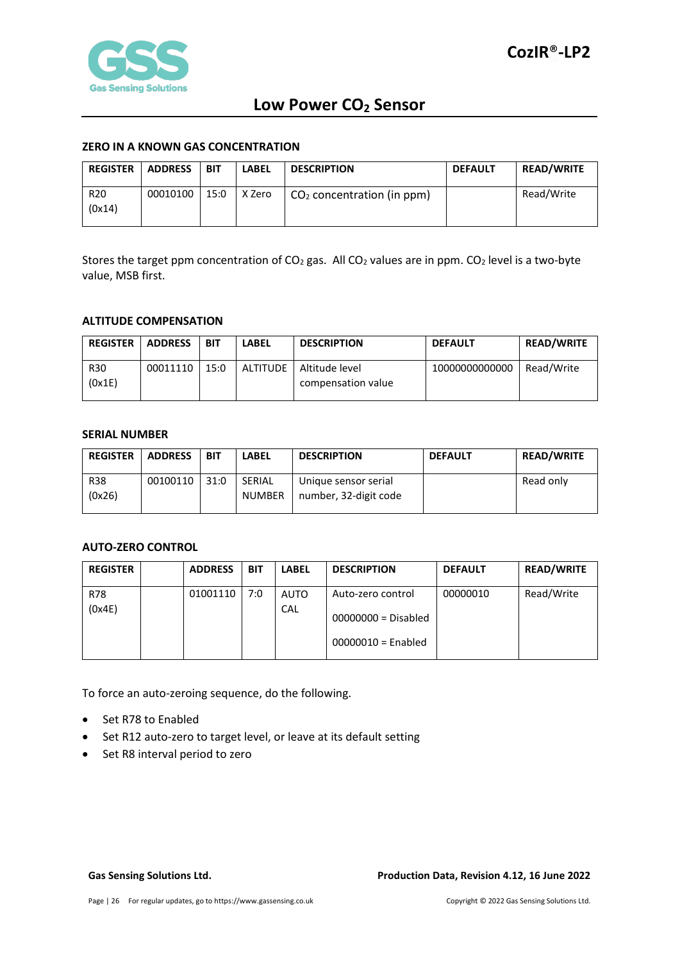

#### <span id="page-25-0"></span>**ZERO IN A KNOWN GAS CONCENTRATION**

| <b>REGISTER</b>           | <b>ADDRESS</b> | BIT  | <b>LABEL</b> | <b>DESCRIPTION</b>           | <b>DEFAULT</b> | <b>READ/WRITE</b> |
|---------------------------|----------------|------|--------------|------------------------------|----------------|-------------------|
| R <sub>20</sub><br>(0x14) | 00010100       | 15:0 | X Zero       | $CO2$ concentration (in ppm) |                | Read/Write        |

Stores the target ppm concentration of  $CO<sub>2</sub>$  gas. All  $CO<sub>2</sub>$  values are in ppm.  $CO<sub>2</sub>$  level is a two-byte value, MSB first.

#### <span id="page-25-1"></span>**ALTITUDE COMPENSATION**

| <b>REGISTER</b> | <b>ADDRESS</b> | BIT  | LABEL           | <b>DESCRIPTION</b> | <b>DEFAULT</b> | <b>READ/WRITE</b> |
|-----------------|----------------|------|-----------------|--------------------|----------------|-------------------|
| <b>R30</b>      | 00011110       | 15:0 | <b>ALTITUDE</b> | Altitude level     | 10000000000000 | Read/Write        |
| (0x1E)          |                |      |                 | compensation value |                |                   |

#### <span id="page-25-2"></span>**SERIAL NUMBER**

| <b>REGISTER</b> | <b>ADDRESS</b> | BIT  | <b>LABEL</b>  | <b>DESCRIPTION</b>    | <b>DEFAULT</b> | <b>READ/WRITE</b> |
|-----------------|----------------|------|---------------|-----------------------|----------------|-------------------|
| <b>R38</b>      | 00100110       | 31:0 | SERIAL        | Unique sensor serial  |                | Read only         |
| (0x26)          |                |      | <b>NUMBER</b> | number, 32-digit code |                |                   |
|                 |                |      |               |                       |                |                   |

#### <span id="page-25-3"></span>**AUTO-ZERO CONTROL**

| <b>REGISTER</b> | <b>ADDRESS</b> | <b>BIT</b> | <b>LABEL</b> | <b>DESCRIPTION</b>                                                 | <b>DEFAULT</b> | <b>READ/WRITE</b> |
|-----------------|----------------|------------|--------------|--------------------------------------------------------------------|----------------|-------------------|
| R78<br>(0x4E)   | 01001110       | 7:0        | AUTO<br>CAL  | Auto-zero control<br>$00000000 = Disabled$<br>$00000010 =$ Enabled | 00000010       | Read/Write        |

To force an auto-zeroing sequence, do the following.

- Set R78 to Enabled
- Set R12 auto-zero to target level, or leave at its default setting
- Set R8 interval period to zero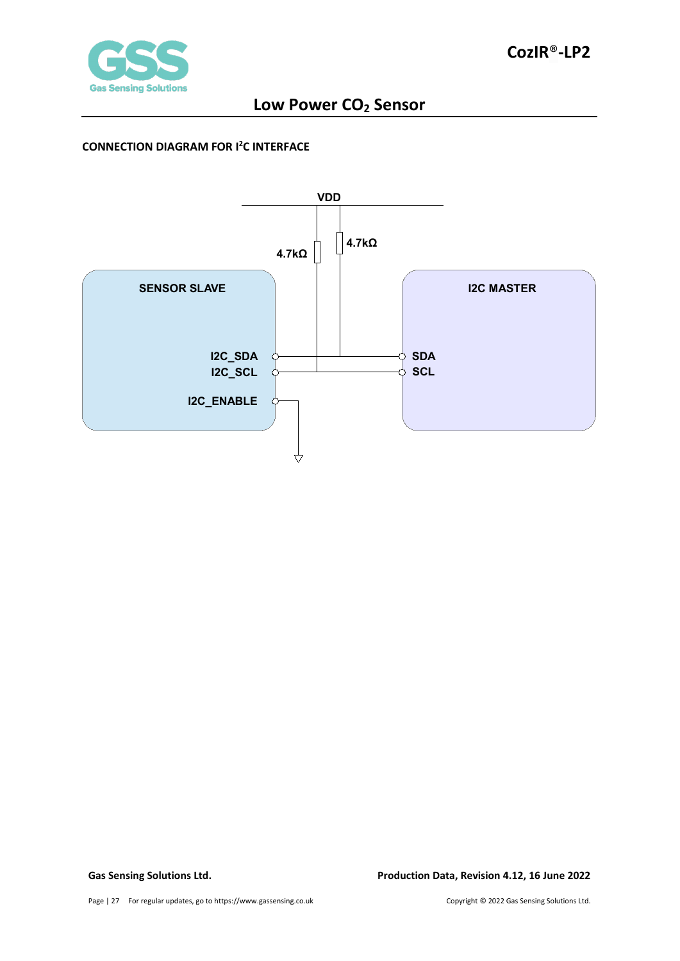

#### <span id="page-26-0"></span>**CONNECTION DIAGRAM FOR I2 C INTERFACE**

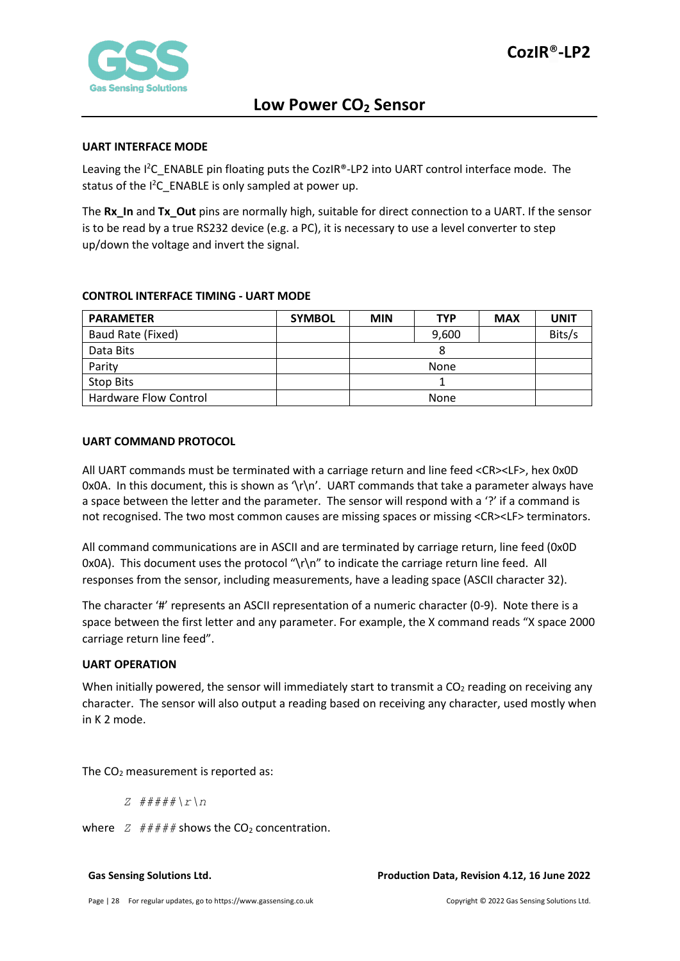

#### <span id="page-27-0"></span>**UART INTERFACE MODE**

Leaving the I<sup>2</sup>C\_ENABLE pin floating puts the CozIR®-LP2 into UART control interface mode. The status of the  $l^2C$  ENABLE is only sampled at power up.

The **Rx\_In** and **Tx\_Out** pins are normally high, suitable for direct connection to a UART. If the sensor is to be read by a true RS232 device (e.g. a PC), it is necessary to use a level converter to step up/down the voltage and invert the signal.

#### <span id="page-27-1"></span>**CONTROL INTERFACE TIMING - UART MODE**

| <b>PARAMETER</b>      | <b>SYMBOL</b> | <b>MIN</b> | <b>TYP</b> | <b>MAX</b> | <b>UNIT</b> |
|-----------------------|---------------|------------|------------|------------|-------------|
| Baud Rate (Fixed)     |               |            | 9,600      |            | Bits/s      |
| Data Bits             |               |            |            |            |             |
| Parity                |               |            | None       |            |             |
| <b>Stop Bits</b>      |               |            |            |            |             |
| Hardware Flow Control |               |            | None       |            |             |

#### <span id="page-27-2"></span>**UART COMMAND PROTOCOL**

All UART commands must be terminated with a carriage return and line feed <CR><LF>, hex 0x0D 0x0A. In this document, this is shown as  $\{\r \}$ n'. UART commands that take a parameter always have a space between the letter and the parameter. The sensor will respond with a '?' if a command is not recognised. The two most common causes are missing spaces or missing <CR><LF> terminators.

All command communications are in ASCII and are terminated by carriage return, line feed (0x0D 0x0A). This document uses the protocol "\r\n" to indicate the carriage return line feed. All responses from the sensor, including measurements, have a leading space (ASCII character 32).

The character '#' represents an ASCII representation of a numeric character (0-9). Note there is a space between the first letter and any parameter. For example, the X command reads "X space 2000 carriage return line feed".

#### <span id="page-27-3"></span>**UART OPERATION**

When initially powered, the sensor will immediately start to transmit a  $CO<sub>2</sub>$  reading on receiving any character. The sensor will also output a reading based on receiving any character, used mostly when in K 2 mode.

The  $CO<sub>2</sub>$  measurement is reported as:

*Z #####\r\n*

where  $Z$   $\#H$ ## shows the  $CO<sub>2</sub>$  concentration.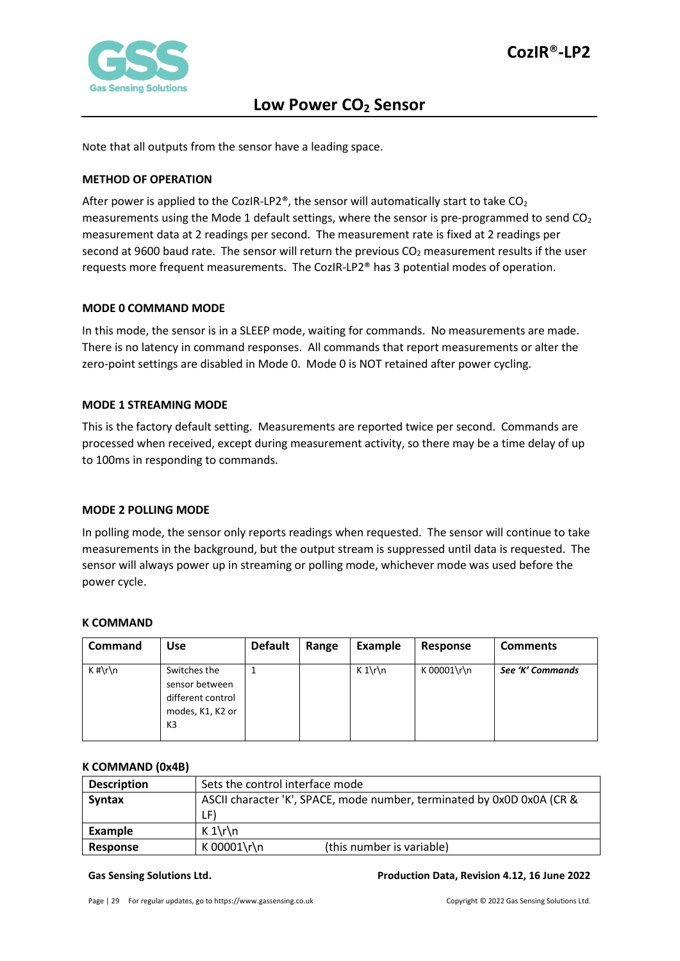

Note that all outputs from the sensor have a leading space.

#### <span id="page-28-0"></span>**METHOD OF OPERATION**

After power is applied to the CozIR-LP2®, the sensor will automatically start to take  $CO<sub>2</sub>$ measurements using the Mode 1 default settings, where the sensor is pre-programmed to send CO<sub>2</sub> measurement data at 2 readings per second. The measurement rate is fixed at 2 readings per second at 9600 baud rate. The sensor will return the previous  $CO<sub>2</sub>$  measurement results if the user requests more frequent measurements. The CozIR-LP2® has 3 potential modes of operation.

#### <span id="page-28-1"></span>**MODE 0 COMMAND MODE**

In this mode, the sensor is in a SLEEP mode, waiting for commands. No measurements are made. There is no latency in command responses. All commands that report measurements or alter the zero-point settings are disabled in Mode 0. Mode 0 is NOT retained after power cycling.

#### <span id="page-28-2"></span>**MODE 1 STREAMING MODE**

This is the factory default setting. Measurements are reported twice per second. Commands are processed when received, except during measurement activity, so there may be a time delay of up to 100ms in responding to commands.

#### <span id="page-28-3"></span>**MODE 2 POLLING MODE**

In polling mode, the sensor only reports readings when requested. The sensor will continue to take measurements in the background, but the output stream is suppressed until data is requested. The sensor will always power up in streaming or polling mode, whichever mode was used before the power cycle.

#### <span id="page-28-4"></span>**K COMMAND**

| <b>Command</b> | Use                                                                                       | <b>Default</b> | Range | Example | Response    | <b>Comments</b>  |
|----------------|-------------------------------------------------------------------------------------------|----------------|-------|---------|-------------|------------------|
| $K$ #\r\n      | Switches the<br>sensor between<br>different control<br>modes, K1, K2 or<br>K <sub>3</sub> |                |       | $K 1\$  | K 00001\r\n | See 'K' Commands |

#### <span id="page-28-5"></span>**K COMMAND (0x4B)**

| <b>Description</b> | Sets the control interface mode                                        |  |  |  |
|--------------------|------------------------------------------------------------------------|--|--|--|
| <b>Syntax</b>      | ASCII character 'K', SPACE, mode number, terminated by 0x0D 0x0A (CR & |  |  |  |
|                    | LF)                                                                    |  |  |  |
| Example            | $K 1\$                                                                 |  |  |  |
| Response           | K 00001\r\n<br>(this number is variable)                               |  |  |  |

#### **Gas Sensing Solutions Ltd. Production Data, Revision 4.12, 16 June 2022**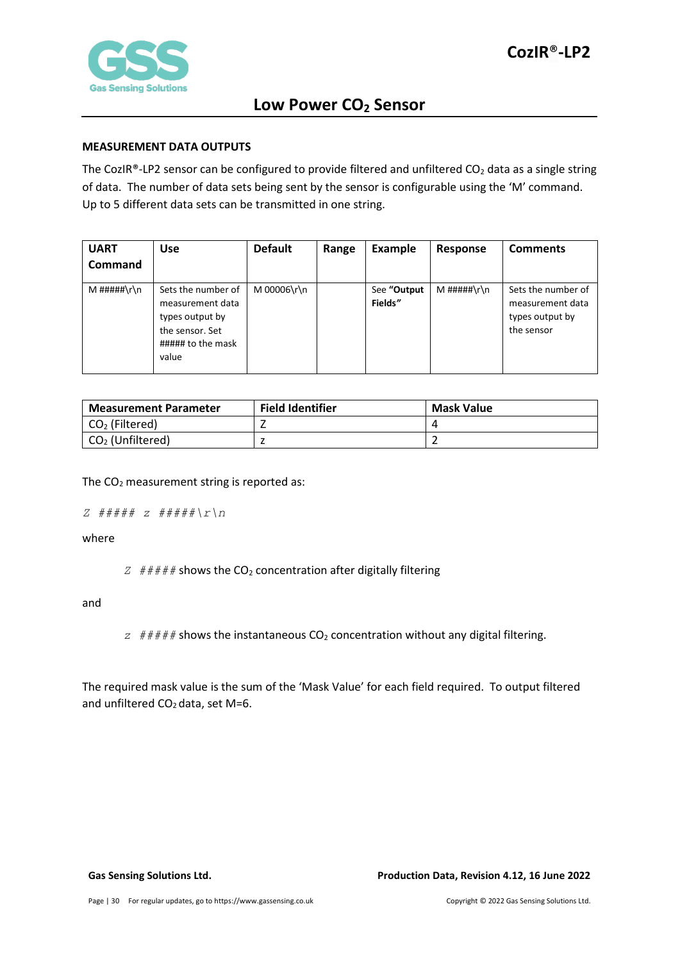

#### <span id="page-29-0"></span>**MEASUREMENT DATA OUTPUTS**

The CozIR®-LP2 sensor can be configured to provide filtered and unfiltered  $CO<sub>2</sub>$  data as a single string of data. The number of data sets being sent by the sensor is configurable using the 'M' command. Up to 5 different data sets can be transmitted in one string.

| <b>UART</b><br><b>Command</b> | <b>Use</b>                                                                                                 | <b>Default</b> | Range | <b>Example</b>         | Response    | <b>Comments</b>                                                         |
|-------------------------------|------------------------------------------------------------------------------------------------------------|----------------|-------|------------------------|-------------|-------------------------------------------------------------------------|
| M #####\r\n                   | Sets the number of<br>measurement data<br>types output by<br>the sensor. Set<br>##### to the mask<br>value | M 00006\r\n    |       | See "Output<br>Fields" | M #####\r\n | Sets the number of<br>measurement data<br>types output by<br>the sensor |

| <b>Measurement Parameter</b> | <b>Field Identifier</b> | <b>Mask Value</b> |
|------------------------------|-------------------------|-------------------|
| $CO2$ (Filtered)             |                         |                   |
| $CO2$ (Unfiltered)           |                         |                   |

The  $CO<sub>2</sub>$  measurement string is reported as:

```
Z ##### z #####\r\n
```
where

 $Z \neq #\# \# \#$  shows the CO<sub>2</sub> concentration after digitally filtering

and

 $z$  ##### shows the instantaneous  $CO<sub>2</sub>$  concentration without any digital filtering.

The required mask value is the sum of the 'Mask Value' for each field required. To output filtered and unfiltered  $CO<sub>2</sub>$  data, set M=6.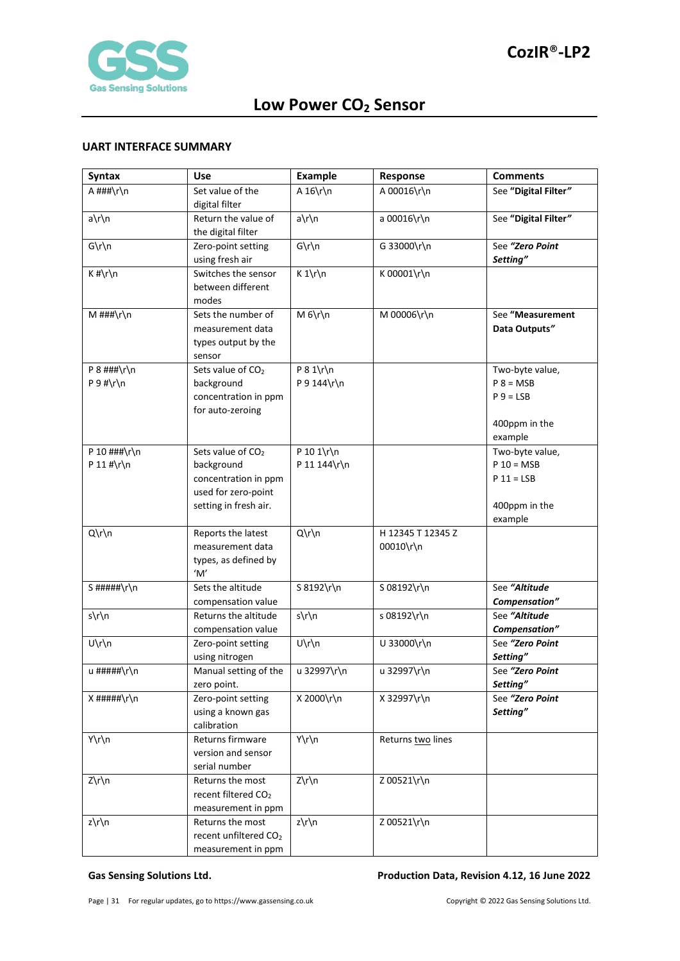

#### <span id="page-30-0"></span>**UART INTERFACE SUMMARY**

| <b>Syntax</b>    | <b>Use</b>                                 | <b>Example</b> | Response          | <b>Comments</b>                |
|------------------|--------------------------------------------|----------------|-------------------|--------------------------------|
| A ###\r\n        | Set value of the                           | A $16\r\ln$    | A 00016\r\n       | See "Digital Filter"           |
|                  | digital filter                             |                |                   |                                |
| a\r\n            | Return the value of                        | a\r\n          | a 00016\r\n       | See "Digital Filter"           |
|                  | the digital filter                         |                |                   |                                |
| $G\r\ln$         | Zero-point setting                         | $G\r\ln$       | G 33000\r\n       | See "Zero Point                |
|                  | using fresh air                            |                |                   | Setting"                       |
| $K$ #\r\n        | Switches the sensor                        | $K 1\r \n$     | K 00001\r\n       |                                |
|                  | between different                          |                |                   |                                |
|                  | modes                                      |                |                   |                                |
| M ###\r\n        | Sets the number of                         | $M_6\r\ln$     | M 00006\r\n       | See "Measurement               |
|                  | measurement data                           |                |                   | Data Outputs"                  |
|                  | types output by the                        |                |                   |                                |
| P $8$ ###\r\n    | sensor<br>Sets value of CO <sub>2</sub>    | $P 8 1\$ r\n   |                   | Two-byte value,                |
| $P 9$ #\r\n      | background                                 | P 9 144\r\n    |                   | $P 8 = MSB$                    |
|                  | concentration in ppm                       |                |                   | $P_9 = LSB$                    |
|                  | for auto-zeroing                           |                |                   |                                |
|                  |                                            |                |                   | 400ppm in the                  |
|                  |                                            |                |                   | example                        |
| P 10 $\#$ ##\r\n | Sets value of CO <sub>2</sub>              | P 10 1\r\n     |                   | Two-byte value,                |
| P 11 #\r\n       | background                                 | P 11 144\r\n   |                   | $P 10 = MSB$                   |
|                  | concentration in ppm                       |                |                   | $P 11 = LSB$                   |
|                  | used for zero-point                        |                |                   |                                |
|                  | setting in fresh air.                      |                |                   | 400ppm in the                  |
|                  |                                            |                |                   | example                        |
| $Q\Gamma\$       | Reports the latest                         | Q\r\n          | H 12345 T 12345 Z |                                |
|                  | measurement data                           |                | 00010\r\n         |                                |
|                  | types, as defined by                       |                |                   |                                |
|                  | 'M'                                        |                |                   |                                |
| S#####\r\n       | Sets the altitude                          | S 8192\r\n     | S 08192\r\n       | See "Altitude                  |
| s\r\n            | compensation value<br>Returns the altitude | s\r\n          |                   | Compensation"<br>See "Altitude |
|                  | compensation value                         |                | s 08192\r\n       | Compensation"                  |
| U\r\n            | Zero-point setting                         | U\r\n          | U 33000\r\n       | See "Zero Point                |
|                  | using nitrogen                             |                |                   | Setting"                       |
| u #####\r\n      | Manual setting of the                      | u 32997\r\n    | u 32997\r\n       | See "Zero Point                |
|                  | zero point.                                |                |                   | Setting"                       |
| $X$ #####\r\n    | Zero-point setting                         | X 2000\r\n     | X 32997\r\n       | See "Zero Point                |
|                  | using a known gas                          |                |                   | Setting"                       |
|                  | calibration                                |                |                   |                                |
| Y\r\n            | Returns firmware                           | Y\r\n          | Returns two lines |                                |
|                  | version and sensor                         |                |                   |                                |
|                  | serial number                              |                |                   |                                |
| Z\r\n            | Returns the most                           | $Z\rr\n$       | Z 00521\r\n       |                                |
|                  | recent filtered CO <sub>2</sub>            |                |                   |                                |
|                  | measurement in ppm                         |                |                   |                                |
| z\r\n            | Returns the most                           | z\r\n          | Z 00521\r\n       |                                |
|                  | recent unfiltered CO <sub>2</sub>          |                |                   |                                |
|                  | measurement in ppm                         |                |                   |                                |

#### **Gas Sensing Solutions Ltd. Production Data, Revision 4.12, 16 June 2022**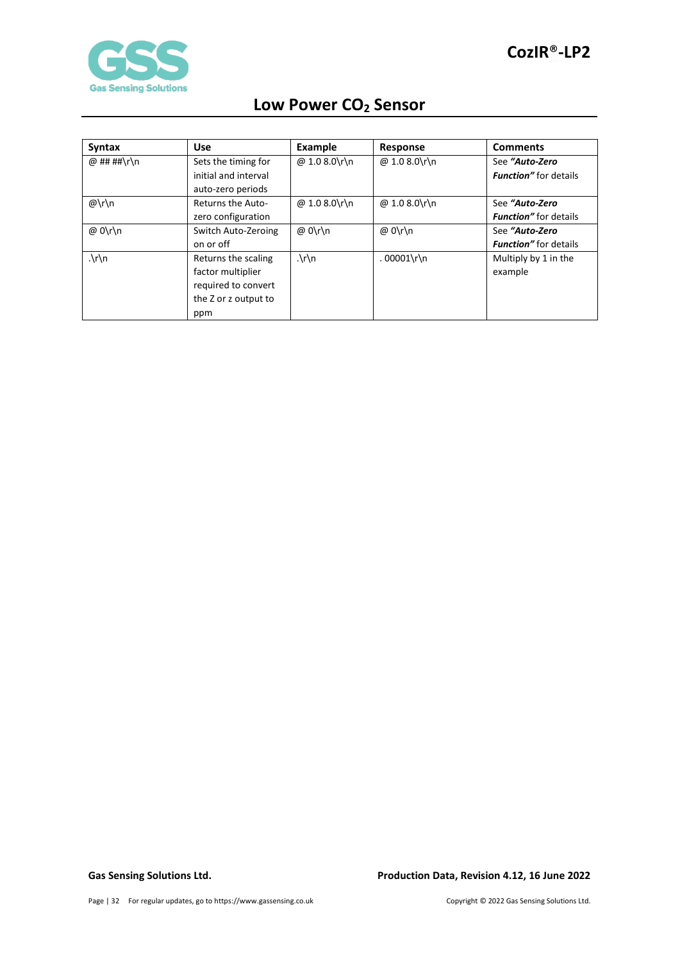

| <b>Syntax</b> | <b>Use</b>           | Example              | Response      | <b>Comments</b>               |
|---------------|----------------------|----------------------|---------------|-------------------------------|
| @ ## ##\r\n   | Sets the timing for  | @ 1.0 8.0\r\n        | @ 1.0 8.0\r\n | See "Auto-Zero                |
|               | initial and interval |                      |               | <b>Function</b> " for details |
|               | auto-zero periods    |                      |               |                               |
| $@\r\h$       | Returns the Auto-    | @ 1.0 8.0\r\n        | @ 1.0 8.0\r\n | See "Auto-Zero                |
|               | zero configuration   |                      |               | <b>Function</b> " for details |
| @ 0\r\n       | Switch Auto-Zeroing  | @ 0\r\n              | @ 0\r\n       | See "Auto-Zero                |
|               | on or off            |                      |               | <b>Function</b> " for details |
| $\cdot \ln$   | Returns the scaling  | $\cdot \int r \, dr$ | $.00001\$     | Multiply by 1 in the          |
|               | factor multiplier    |                      |               | example                       |
|               | required to convert  |                      |               |                               |
|               | the Z or z output to |                      |               |                               |
|               | ppm                  |                      |               |                               |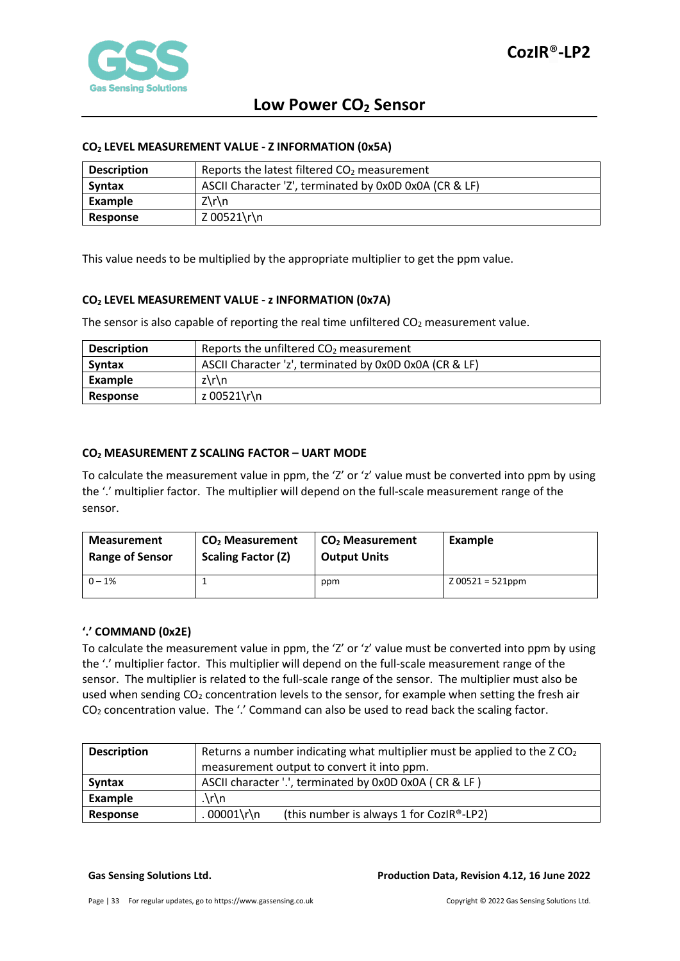

#### <span id="page-32-0"></span>**CO2 LEVEL MEASUREMENT VALUE - Z INFORMATION (0x5A)**

| <b>Description</b> | Reports the latest filtered $CO2$ measurement          |
|--------------------|--------------------------------------------------------|
| Syntax             | ASCII Character 'Z', terminated by 0x0D 0x0A (CR & LF) |
| Example            | Z\r\n                                                  |
| Response           | Z 00521\r\n                                            |

This value needs to be multiplied by the appropriate multiplier to get the ppm value.

#### <span id="page-32-1"></span>**CO2 LEVEL MEASUREMENT VALUE - z INFORMATION (0x7A)**

The sensor is also capable of reporting the real time unfiltered  $CO<sub>2</sub>$  measurement value.

| <b>Description</b> | Reports the unfiltered $CO2$ measurement               |
|--------------------|--------------------------------------------------------|
| <b>Syntax</b>      | ASCII Character 'z', terminated by 0x0D 0x0A (CR & LF) |
| Example            | $z\$ n                                                 |
| Response           | z 00521\r\n                                            |

#### <span id="page-32-2"></span>**CO2 MEASUREMENT Z SCALING FACTOR – UART MODE**

To calculate the measurement value in ppm, the 'Z' or 'z' value must be converted into ppm by using the '.' multiplier factor. The multiplier will depend on the full-scale measurement range of the sensor.

| <b>Measurement</b>     | CO <sub>2</sub> Measurement | CO <sub>2</sub> Measurement | Example            |
|------------------------|-----------------------------|-----------------------------|--------------------|
| <b>Range of Sensor</b> | <b>Scaling Factor (Z)</b>   | <b>Output Units</b>         |                    |
| $0 - 1%$               |                             | ppm                         | $200521 = 521$ ppm |

#### <span id="page-32-3"></span>**'.' COMMAND (0x2E)**

To calculate the measurement value in ppm, the 'Z' or 'z' value must be converted into ppm by using the '.' multiplier factor. This multiplier will depend on the full-scale measurement range of the sensor. The multiplier is related to the full-scale range of the sensor. The multiplier must also be used when sending  $CO<sub>2</sub>$  concentration levels to the sensor, for example when setting the fresh air CO2 concentration value. The '.' Command can also be used to read back the scaling factor.

| <b>Description</b> | Returns a number indicating what multiplier must be applied to the $ZCO2$ |  |  |
|--------------------|---------------------------------------------------------------------------|--|--|
|                    | measurement output to convert it into ppm.                                |  |  |
| <b>Syntax</b>      | ASCII character '.', terminated by 0x0D 0x0A (CR & LF)                    |  |  |
| Example            | $\lambda r \n\$                                                           |  |  |
| Response           | $.00001\$<br>(this number is always 1 for CozIR®-LP2)                     |  |  |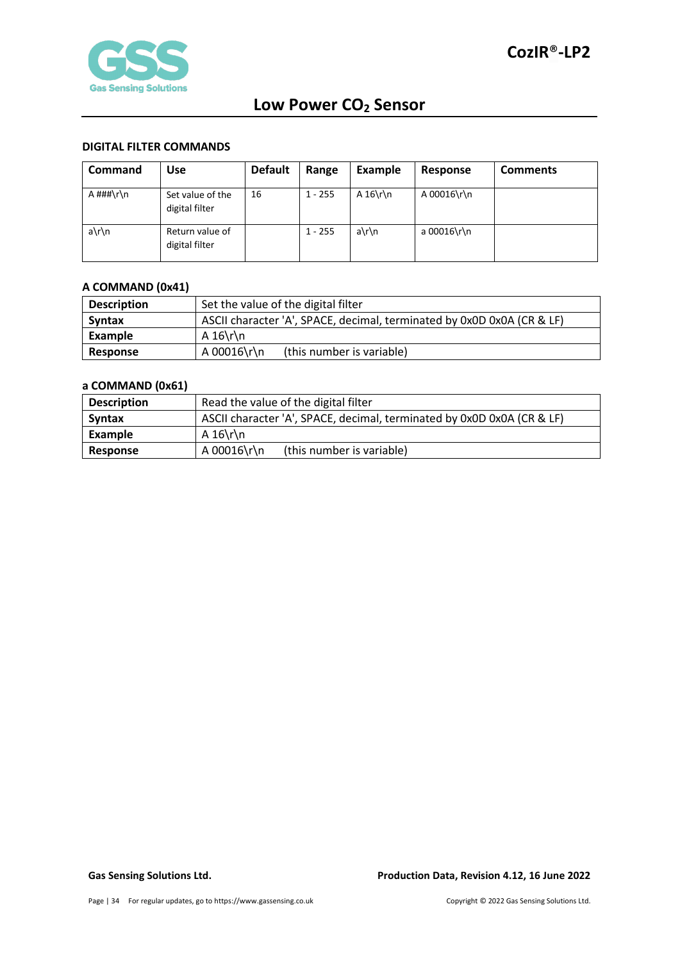

#### <span id="page-33-0"></span>**DIGITAL FILTER COMMANDS**

| <b>Command</b> | Use                                | <b>Default</b> | Range     | Example   | Response    | <b>Comments</b> |
|----------------|------------------------------------|----------------|-----------|-----------|-------------|-----------------|
| A ###\r\n      | Set value of the<br>digital filter | 16             | $1 - 255$ | A $16\$ n | A 00016\r\n |                 |
| a\r\n          | Return value of<br>digital filter  |                | $1 - 255$ | a\r\n     | a 00016\r\n |                 |

### <span id="page-33-1"></span>**A COMMAND (0x41)**

| <b>Description</b> | Set the value of the digital filter                                    |  |  |
|--------------------|------------------------------------------------------------------------|--|--|
| <b>Syntax</b>      | ASCII character 'A', SPACE, decimal, terminated by 0x0D 0x0A (CR & LF) |  |  |
| Example            | A $16\$ h                                                              |  |  |
| Response           | A 00016\r\n<br>(this number is variable)                               |  |  |

### <span id="page-33-2"></span>**a COMMAND (0x61)**

| <b>Description</b> | Read the value of the digital filter                                   |  |  |
|--------------------|------------------------------------------------------------------------|--|--|
| <b>Syntax</b>      | ASCII character 'A', SPACE, decimal, terminated by 0x0D 0x0A (CR & LF) |  |  |
| Example            | A $16\$ r\n                                                            |  |  |
| Response           | A 00016\r\n<br>(this number is variable)                               |  |  |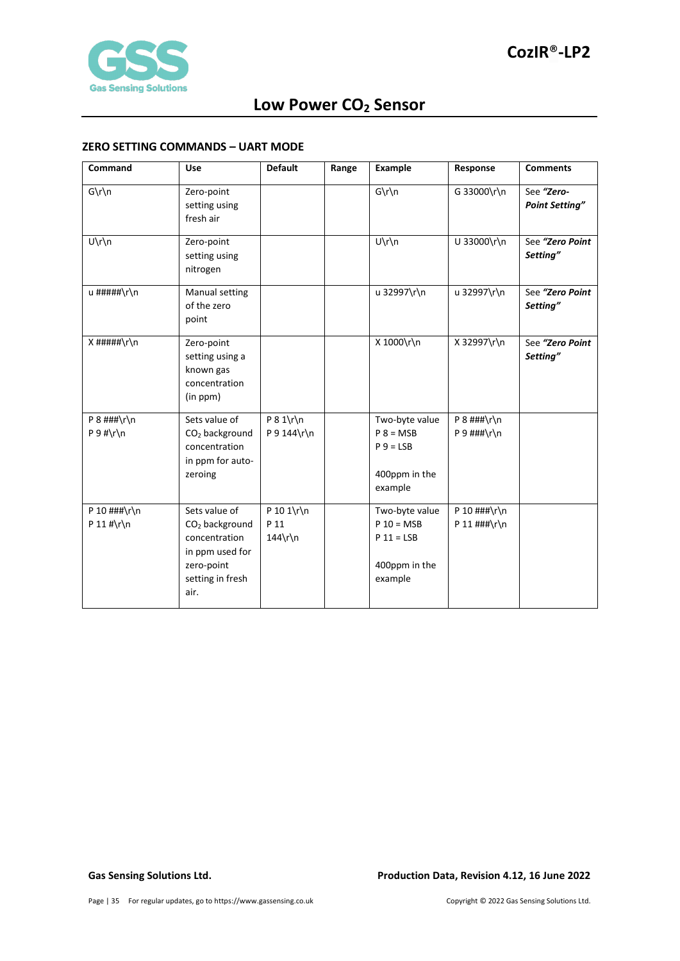

#### <span id="page-34-0"></span>**ZERO SETTING COMMANDS – UART MODE**

| Command                        | <b>Use</b>                                                                                                                | <b>Default</b>                   | Range | <b>Example</b>                                                             | Response                                   | <b>Comments</b>                     |
|--------------------------------|---------------------------------------------------------------------------------------------------------------------------|----------------------------------|-------|----------------------------------------------------------------------------|--------------------------------------------|-------------------------------------|
| $G\r\ln$                       | Zero-point<br>setting using<br>fresh air                                                                                  |                                  |       | $G\r\ln$                                                                   | G 33000\r\n                                | See "Zero-<br><b>Point Setting"</b> |
| $U\r\ln$                       | Zero-point<br>setting using<br>nitrogen                                                                                   |                                  |       | $U\prime n$                                                                | U 33000\r\n                                | See "Zero Point<br>Setting"         |
| u #####\r\n                    | Manual setting<br>of the zero<br>point                                                                                    |                                  |       | u 32997\r\n                                                                | u 32997\r\n                                | See "Zero Point<br>Setting"         |
| $X$ #####\r\n                  | Zero-point<br>setting using a<br>known gas<br>concentration<br>(in ppm)                                                   |                                  |       | X 1000\r\n                                                                 | X 32997\r\n                                | See "Zero Point<br>Setting"         |
| $P$ 8 ###\r\n<br>$P 9$ #\r\n   | Sets value of<br>CO <sub>2</sub> background<br>concentration<br>in ppm for auto-<br>zeroing                               | $P 8 1\$ r\n<br>P 9 144\r\n      |       | Two-byte value<br>$P 8 = MSB$<br>$P_9 = LSB$<br>400ppm in the<br>example   | $P$ 8 ###\r\n<br>P 9 $\#$ ##\r\n           |                                     |
| P 10 $\#$ ##\r\n<br>P 11 #\r\n | Sets value of<br>CO <sub>2</sub> background<br>concentration<br>in ppm used for<br>zero-point<br>setting in fresh<br>air. | P 10 1\r\n<br>P 11<br>$144\$ r\n |       | Two-byte value<br>$P 10 = MSB$<br>$P 11 = LSB$<br>400ppm in the<br>example | P 10 $\#$ # $\r \n$<br>P 11 $\#$ # $\r \n$ |                                     |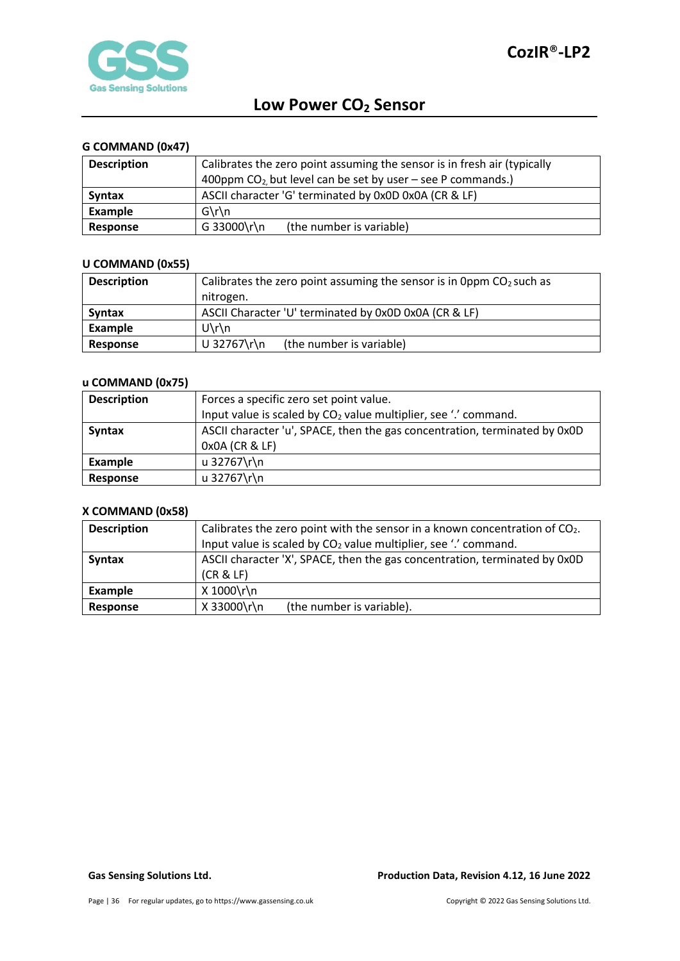

### <span id="page-35-0"></span>**G COMMAND (0x47)**

| <b>Description</b> | Calibrates the zero point assuming the sensor is in fresh air (typically |
|--------------------|--------------------------------------------------------------------------|
|                    | 400ppm $CO_2$ but level can be set by user – see P commands.)            |
| <b>Syntax</b>      | ASCII character 'G' terminated by 0x0D 0x0A (CR & LF)                    |
| Example            | $G\$ n                                                                   |
| Response           | G 33000\r\n<br>(the number is variable)                                  |

### <span id="page-35-1"></span>**U COMMAND (0x55)**

| <b>Description</b> | Calibrates the zero point assuming the sensor is in 0ppm $CO2$ such as |  |  |
|--------------------|------------------------------------------------------------------------|--|--|
|                    | nitrogen.                                                              |  |  |
| <b>Syntax</b>      | ASCII Character 'U' terminated by 0x0D 0x0A (CR & LF)                  |  |  |
| Example            | $U\$ n                                                                 |  |  |
| Response           | U 32767\r\n<br>(the number is variable)                                |  |  |

### <span id="page-35-2"></span>**u COMMAND (0x75)**

| <b>Description</b> | Forces a specific zero set point value.                                     |
|--------------------|-----------------------------------------------------------------------------|
|                    | Input value is scaled by CO <sub>2</sub> value multiplier, see '.' command. |
| <b>Syntax</b>      | ASCII character 'u', SPACE, then the gas concentration, terminated by 0x0D  |
|                    | 0x0A (CR & LF)                                                              |
| Example            | u 32767\r\n                                                                 |
| Response           | u 32767\r\n                                                                 |

### <span id="page-35-3"></span>**X COMMAND (0x58)**

| <b>Description</b> | Calibrates the zero point with the sensor in a known concentration of $CO2$ .          |  |  |
|--------------------|----------------------------------------------------------------------------------------|--|--|
|                    | Input value is scaled by CO <sub>2</sub> value multiplier, see '.' command.            |  |  |
| <b>Syntax</b>      | ASCII character 'X', SPACE, then the gas concentration, terminated by 0x0D<br>(CR & E) |  |  |
|                    |                                                                                        |  |  |
| Example            | X 1000\r\n                                                                             |  |  |
| Response           | X 33000\r\n<br>(the number is variable).                                               |  |  |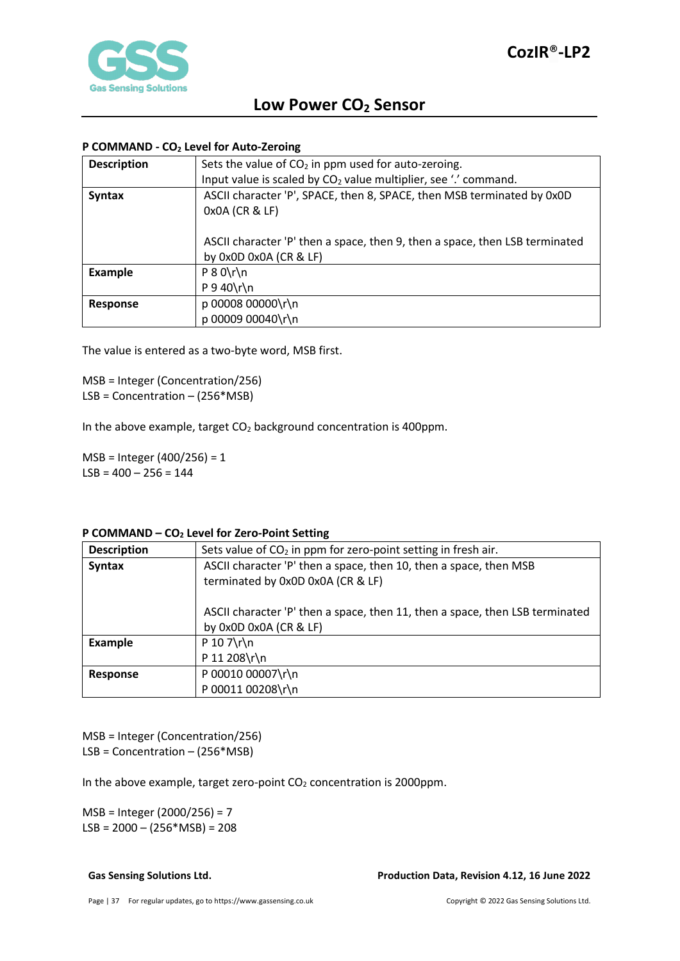

### <span id="page-36-0"></span>**P COMMAND - CO2 Level for Auto-Zeroing**

| <b>Description</b> | Sets the value of $CO2$ in ppm used for auto-zeroing.                       |
|--------------------|-----------------------------------------------------------------------------|
|                    | Input value is scaled by $CO2$ value multiplier, see '.' command.           |
| <b>Syntax</b>      | ASCII character 'P', SPACE, then 8, SPACE, then MSB terminated by 0x0D      |
|                    | 0x0A (CR & LF)                                                              |
|                    |                                                                             |
|                    | ASCII character 'P' then a space, then 9, then a space, then LSB terminated |
|                    | by 0x0D 0x0A (CR & LF)                                                      |
| <b>Example</b>     | $P 8 0 \rln$                                                                |
|                    | $P$ 9 40\r\n                                                                |
| Response           | p 00008 00000\r\n                                                           |
|                    | p 00009 00040\r\n                                                           |

The value is entered as a two-byte word, MSB first.

MSB = Integer (Concentration/256) LSB = Concentration – (256\*MSB)

In the above example, target  $CO<sub>2</sub>$  background concentration is 400ppm.

MSB = Integer (400/256) = 1  $LSB = 400 - 256 = 144$ 

#### <span id="page-36-1"></span>**P COMMAND – CO2 Level for Zero-Point Setting**

| <b>Description</b> | Sets value of CO <sub>2</sub> in ppm for zero-point setting in fresh air.    |  |
|--------------------|------------------------------------------------------------------------------|--|
| <b>Syntax</b>      | ASCII character 'P' then a space, then 10, then a space, then MSB            |  |
|                    | terminated by 0x0D 0x0A (CR & LF)                                            |  |
|                    |                                                                              |  |
|                    | ASCII character 'P' then a space, then 11, then a space, then LSB terminated |  |
|                    | by 0x0D 0x0A (CR & LF)                                                       |  |
| <b>Example</b>     | P 10 7\r\n                                                                   |  |
|                    | P 11 208\r\n                                                                 |  |
| Response           | P 00010 00007\r\n                                                            |  |
|                    | P 00011 00208\r\n                                                            |  |

MSB = Integer (Concentration/256) LSB = Concentration – (256\*MSB)

In the above example, target zero-point  $CO<sub>2</sub>$  concentration is 2000ppm.

MSB = Integer (2000/256) = 7  $LSB = 2000 - (256 * MSB) = 208$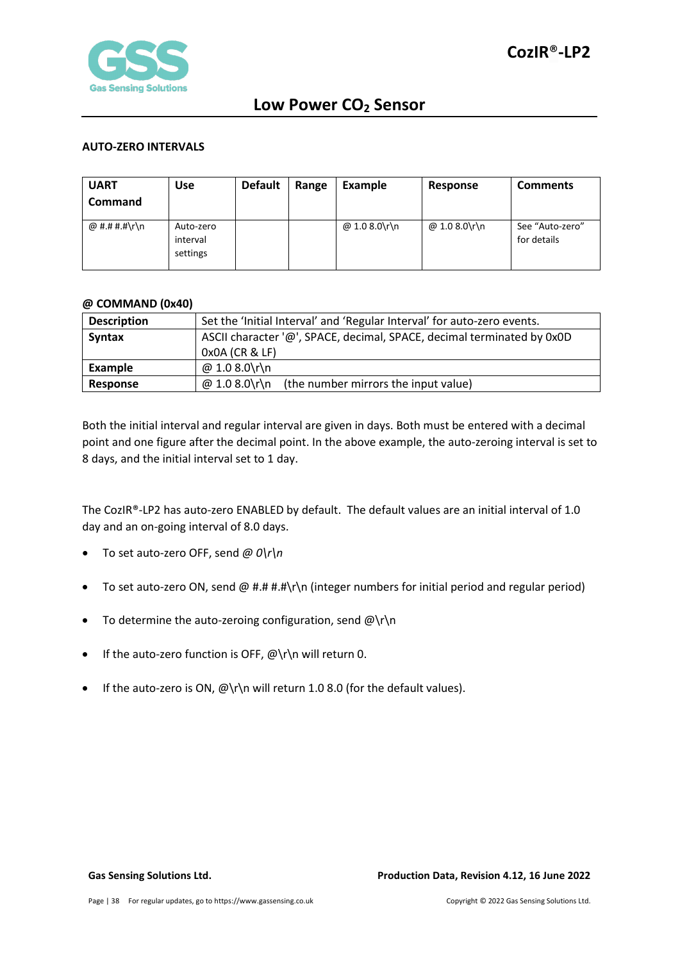

#### <span id="page-37-0"></span>**AUTO-ZERO INTERVALS**

| <b>UART</b><br><b>Command</b> | <b>Use</b>                        | <b>Default</b> | Range | Example       | Response      | <b>Comments</b>                |
|-------------------------------|-----------------------------------|----------------|-------|---------------|---------------|--------------------------------|
| @ #.# #.#\r\n                 | Auto-zero<br>interval<br>settings |                |       | @ 1.0 8.0\r\n | @ 1.0 8.0\r\n | See "Auto-zero"<br>for details |

#### <span id="page-37-1"></span>**@ COMMAND (0x40)**

| <b>Description</b> | Set the 'Initial Interval' and 'Regular Interval' for auto-zero events. |  |  |  |
|--------------------|-------------------------------------------------------------------------|--|--|--|
| <b>Syntax</b>      | ASCII character '@', SPACE, decimal, SPACE, decimal terminated by 0x0D  |  |  |  |
|                    | 0x0A (CR & LF)                                                          |  |  |  |
| Example            | @ 1.0 8.0\r\n                                                           |  |  |  |
| Response           | $\omega$ 1.0 8.0\r\n (the number mirrors the input value)               |  |  |  |

Both the initial interval and regular interval are given in days. Both must be entered with a decimal point and one figure after the decimal point. In the above example, the auto-zeroing interval is set to 8 days, and the initial interval set to 1 day.

The CozIR®-LP2 has auto-zero ENABLED by default. The default values are an initial interval of 1.0 day and an on-going interval of 8.0 days.

- To set auto-zero OFF, send *@ 0\r\n*
- To set auto-zero ON, send @ #.# #.#\r\n (integer numbers for initial period and regular period)
- To determine the auto-zeroing configuration, send  $@{\rceil}$ n
- If the auto-zero function is OFF,  $@ \rceil \n$  will return 0.
- If the auto-zero is ON,  $@{\rceil}$  will return 1.0 8.0 (for the default values).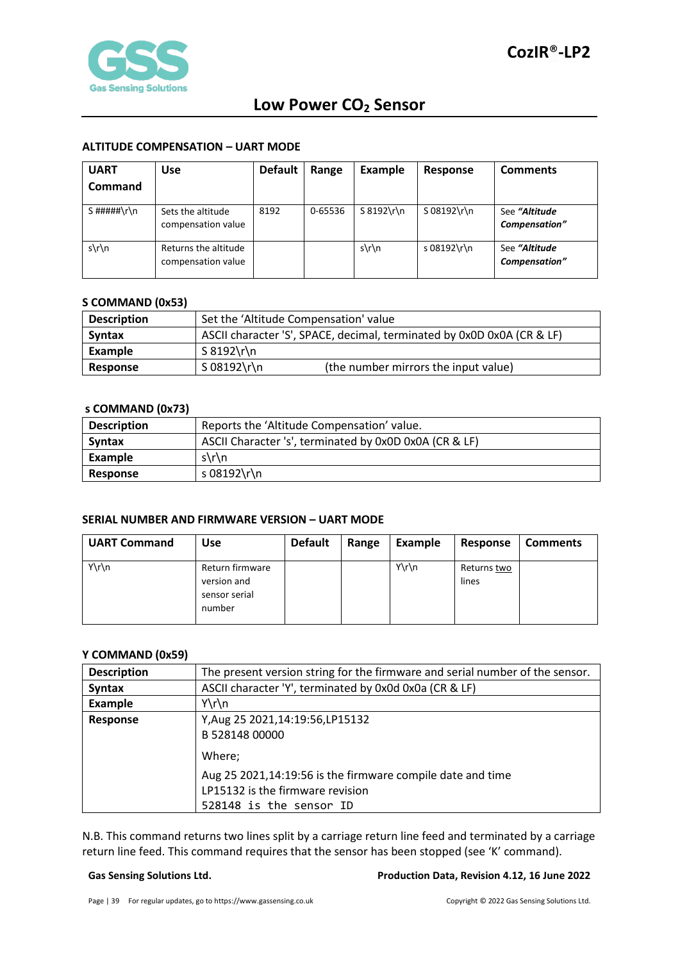#### <span id="page-38-0"></span>**ALTITUDE COMPENSATION – UART MODE**

| <b>UART</b><br>Command | <b>Use</b>                                 | <b>Default</b> | Range   | Example       | Response      | <b>Comments</b>                |
|------------------------|--------------------------------------------|----------------|---------|---------------|---------------|--------------------------------|
| S#####\r\n             | Sets the altitude<br>compensation value    | 8192           | 0-65536 | $S 8192 \rln$ | $S$ 08192\r\n | See "Altitude<br>Compensation" |
| $s\$ n                 | Returns the altitude<br>compensation value |                |         | $s\$ n        | s 08192\r\n   | See "Altitude<br>Compensation" |

#### <span id="page-38-1"></span>**S COMMAND (0x53)**

| <b>Description</b> | Set the 'Altitude Compensation' value                                  |                                      |  |
|--------------------|------------------------------------------------------------------------|--------------------------------------|--|
| <b>Syntax</b>      | ASCII character 'S', SPACE, decimal, terminated by 0x0D 0x0A (CR & LF) |                                      |  |
| Example            | S 8192\r\n                                                             |                                      |  |
| Response           | S 08192\r\n                                                            | (the number mirrors the input value) |  |

#### <span id="page-38-2"></span>**s COMMAND (0x73)**

| <b>Description</b> | Reports the 'Altitude Compensation' value.             |  |  |
|--------------------|--------------------------------------------------------|--|--|
| <b>Syntax</b>      | ASCII Character 's', terminated by 0x0D 0x0A (CR & LF) |  |  |
| Example            | $s\$ n                                                 |  |  |
| Response           | s 08192\r\n                                            |  |  |

#### <span id="page-38-3"></span>**SERIAL NUMBER AND FIRMWARE VERSION – UART MODE**

| <b>UART Command</b> | <b>Use</b>                                                | <b>Default</b> | Range | Example  | Response             | <b>Comments</b> |
|---------------------|-----------------------------------------------------------|----------------|-------|----------|----------------------|-----------------|
| $Y\r\ln$            | Return firmware<br>version and<br>sensor serial<br>number |                |       | $Y\r\ln$ | Returns two<br>lines |                 |

#### <span id="page-38-4"></span>**Y COMMAND (0x59)**

| <b>Description</b> | The present version string for the firmware and serial number of the sensor.                                              |  |  |  |
|--------------------|---------------------------------------------------------------------------------------------------------------------------|--|--|--|
| <b>Syntax</b>      | ASCII character 'Y', terminated by 0x0d 0x0a (CR & LF)                                                                    |  |  |  |
| Example            | $Y\r\ln$                                                                                                                  |  |  |  |
| Response           | Y, Aug 25 2021, 14: 19: 56, LP 15132<br>B 528148 00000                                                                    |  |  |  |
|                    | Where;                                                                                                                    |  |  |  |
|                    | Aug 25 2021,14:19:56 is the firmware compile date and time<br>LP15132 is the firmware revision<br>528148 is the sensor ID |  |  |  |

N.B. This command returns two lines split by a carriage return line feed and terminated by a carriage return line feed. This command requires that the sensor has been stopped (see 'K' command).

#### **Gas Sensing Solutions Ltd. Production Data, Revision 4.12, 16 June 2022**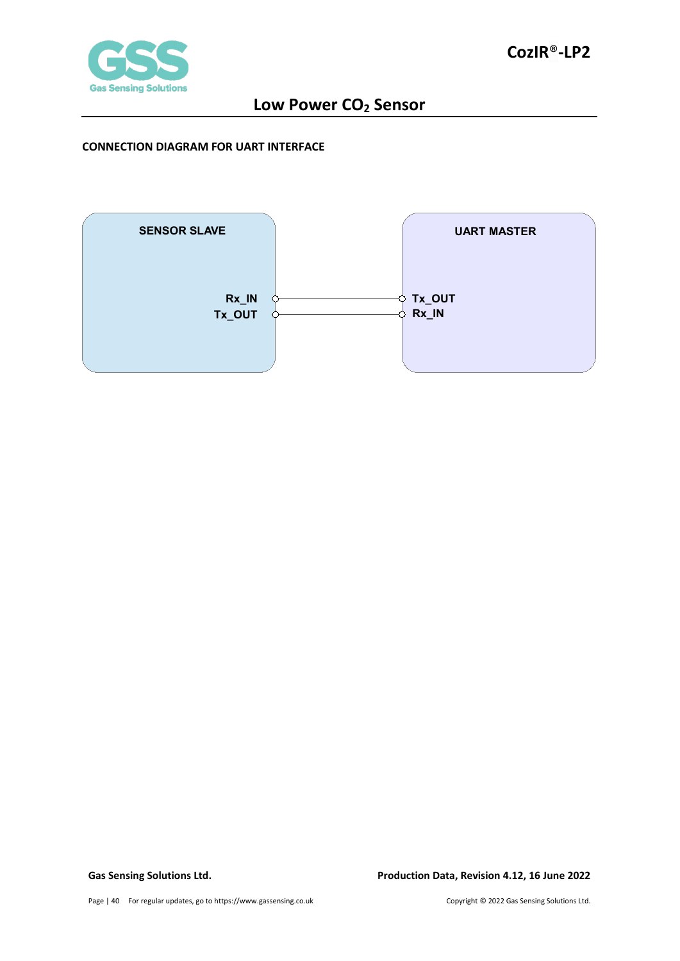

#### <span id="page-39-0"></span>**CONNECTION DIAGRAM FOR UART INTERFACE**